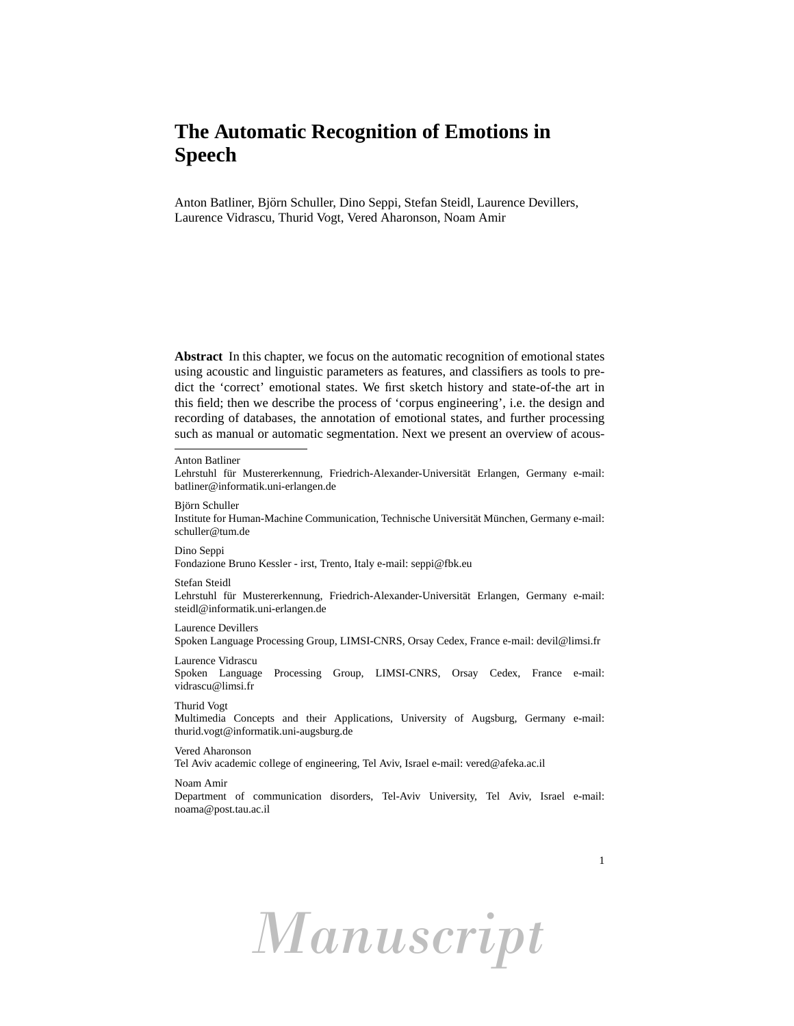## **The Automatic Recognition of Emotions in Speech**

Anton Batliner, Björn Schuller, Dino Seppi, Stefan Steidl, Laurence Devillers, Laurence Vidrascu, Thurid Vogt, Vered Aharonson, Noam Amir

**Abstract** In this chapter, we focus on the automatic recognition of emotional states using acoustic and linguistic parameters as features, and classifiers as tools to predict the 'correct' emotional states. We first sketch history and state-of-the art in this field; then we describe the process of 'corpus engineering', i.e. the design and recording of databases, the annotation of emotional states, and further processing such as manual or automatic segmentation. Next we present an overview of acous-

Vered Aharonson

Björn Schuller Institute for Human-Machine Communication, Technische Universität München, Germany e-mail: schuller@tum.de

Dino Seppi Fondazione Bruno Kessler - irst, Trento, Italy e-mail: seppi@fbk.eu

Stefan Steidl Lehrstuhl für Mustererkennung, Friedrich-Alexander-Universität Erlangen, Germany e-mail: steidl@informatik.uni-erlangen.de

Laurence Devillers Spoken Language Processing Group, LIMSI-CNRS, Orsay Cedex, France e-mail: devil@limsi.fr

Laurence Vidrascu Spoken Language Processing Group, LIMSI-CNRS, Orsay Cedex, France e-mail: vidrascu@limsi.fr

Thurid Vogt Multimedia Concepts and their Applications, University of Augsburg, Germany e-mail: thurid.vogt@informatik.uni-augsburg.de

Tel Aviv academic college of engineering, Tel Aviv, Israel e-mail: vered@afeka.ac.il Noam Amir

Department of communication disorders, Tel-Aviv University, Tel Aviv, Israel e-mail: noama@post.tau.ac.il

*Manuscript*

Anton Batliner

Lehrstuhl für Mustererkennung, Friedrich-Alexander-Universität Erlangen, Germany e-mail: batliner@informatik.uni-erlangen.de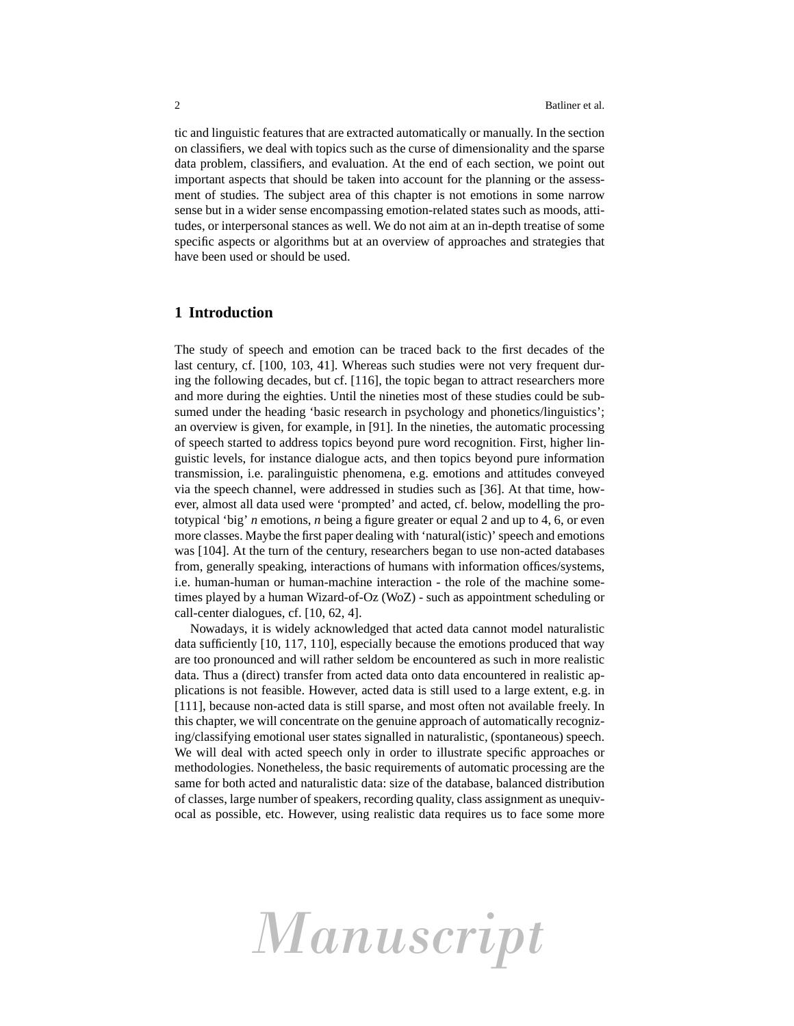tic and linguistic features that are extracted automatically or manually. In the section on classifiers, we deal with topics such as the curse of dimensionality and the sparse data problem, classifiers, and evaluation. At the end of each section, we point out important aspects that should be taken into account for the planning or the assessment of studies. The subject area of this chapter is not emotions in some narrow sense but in a wider sense encompassing emotion-related states such as moods, attitudes, or interpersonal stances as well. We do not aim at an in-depth treatise of some specific aspects or algorithms but at an overview of approaches and strategies that have been used or should be used.

## **1 Introduction**

The study of speech and emotion can be traced back to the first decades of the last century, cf. [100, 103, 41]. Whereas such studies were not very frequent during the following decades, but cf. [116], the topic began to attract researchers more and more during the eighties. Until the nineties most of these studies could be subsumed under the heading 'basic research in psychology and phonetics/linguistics'; an overview is given, for example, in [91]. In the nineties, the automatic processing of speech started to address topics beyond pure word recognition. First, higher linguistic levels, for instance dialogue acts, and then topics beyond pure information transmission, i.e. paralinguistic phenomena, e.g. emotions and attitudes conveyed via the speech channel, were addressed in studies such as [36]. At that time, however, almost all data used were 'prompted' and acted, cf. below, modelling the prototypical 'big' *n* emotions, *n* being a figure greater or equal 2 and up to 4, 6, or even more classes. Maybe the first paper dealing with 'natural(istic)' speech and emotions was [104]. At the turn of the century, researchers began to use non-acted databases from, generally speaking, interactions of humans with information offices/systems, i.e. human-human or human-machine interaction - the role of the machine sometimes played by a human Wizard-of-Oz (WoZ) - such as appointment scheduling or call-center dialogues, cf. [10, 62, 4].

Nowadays, it is widely acknowledged that acted data cannot model naturalistic data sufficiently [10, 117, 110], especially because the emotions produced that way are too pronounced and will rather seldom be encountered as such in more realistic data. Thus a (direct) transfer from acted data onto data encountered in realistic applications is not feasible. However, acted data is still used to a large extent, e.g. in [111], because non-acted data is still sparse, and most often not available freely. In this chapter, we will concentrate on the genuine approach of automatically recognizing/classifying emotional user states signalled in naturalistic, (spontaneous) speech. We will deal with acted speech only in order to illustrate specific approaches or methodologies. Nonetheless, the basic requirements of automatic processing are the same for both acted and naturalistic data: size of the database, balanced distribution of classes, large number of speakers, recording quality, class assignment as unequivocal as possible, etc. However, using realistic data requires us to face some more

*Manuscript*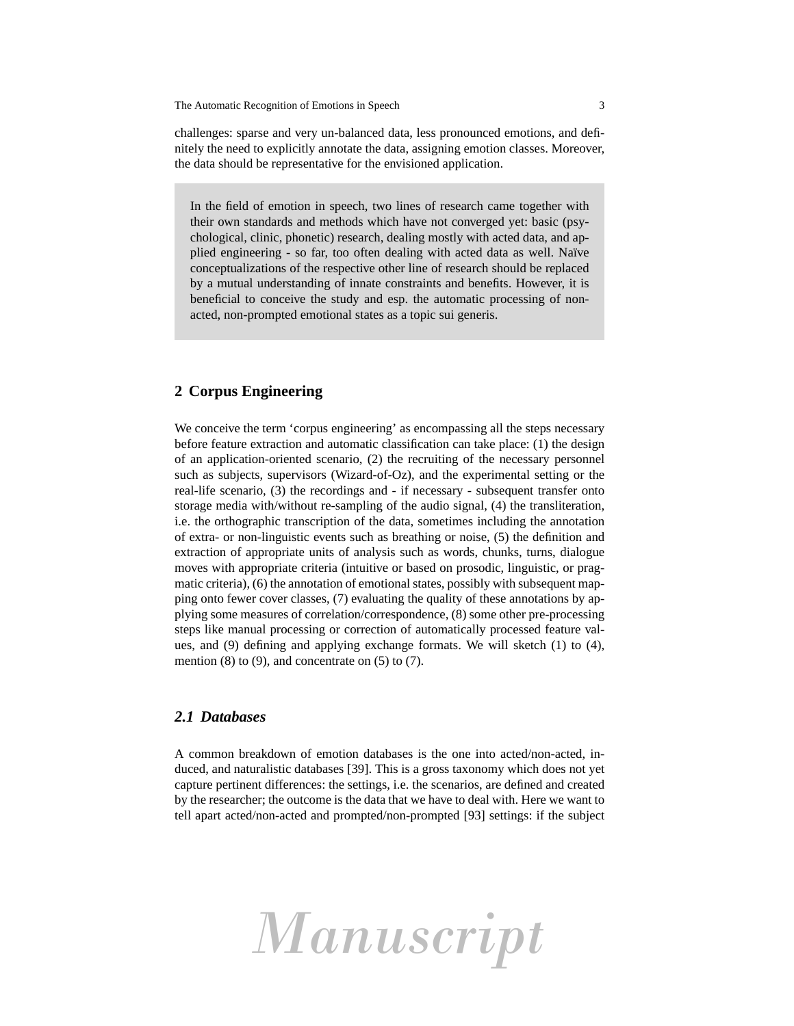challenges: sparse and very un-balanced data, less pronounced emotions, and definitely the need to explicitly annotate the data, assigning emotion classes. Moreover, the data should be representative for the envisioned application.

In the field of emotion in speech, two lines of research came together with their own standards and methods which have not converged yet: basic (psychological, clinic, phonetic) research, dealing mostly with acted data, and applied engineering - so far, too often dealing with acted data as well. Naïve conceptualizations of the respective other line of research should be replaced by a mutual understanding of innate constraints and benefits. However, it is beneficial to conceive the study and esp. the automatic processing of nonacted, non-prompted emotional states as a topic sui generis.

## **2 Corpus Engineering**

We conceive the term 'corpus engineering' as encompassing all the steps necessary before feature extraction and automatic classification can take place: (1) the design of an application-oriented scenario, (2) the recruiting of the necessary personnel such as subjects, supervisors (Wizard-of-Oz), and the experimental setting or the real-life scenario, (3) the recordings and - if necessary - subsequent transfer onto storage media with/without re-sampling of the audio signal, (4) the transliteration, i.e. the orthographic transcription of the data, sometimes including the annotation of extra- or non-linguistic events such as breathing or noise, (5) the definition and extraction of appropriate units of analysis such as words, chunks, turns, dialogue moves with appropriate criteria (intuitive or based on prosodic, linguistic, or pragmatic criteria), (6) the annotation of emotional states, possibly with subsequent mapping onto fewer cover classes, (7) evaluating the quality of these annotations by applying some measures of correlation/correspondence, (8) some other pre-processing steps like manual processing or correction of automatically processed feature values, and (9) defining and applying exchange formats. We will sketch (1) to (4), mention  $(8)$  to  $(9)$ , and concentrate on  $(5)$  to  $(7)$ .

#### *2.1 Databases*

A common breakdown of emotion databases is the one into acted/non-acted, induced, and naturalistic databases [39]. This is a gross taxonomy which does not yet capture pertinent differences: the settings, i.e. the scenarios, are defined and created by the researcher; the outcome is the data that we have to deal with. Here we want to tell apart acted/non-acted and prompted/non-prompted [93] settings: if the subject

*Manuscript*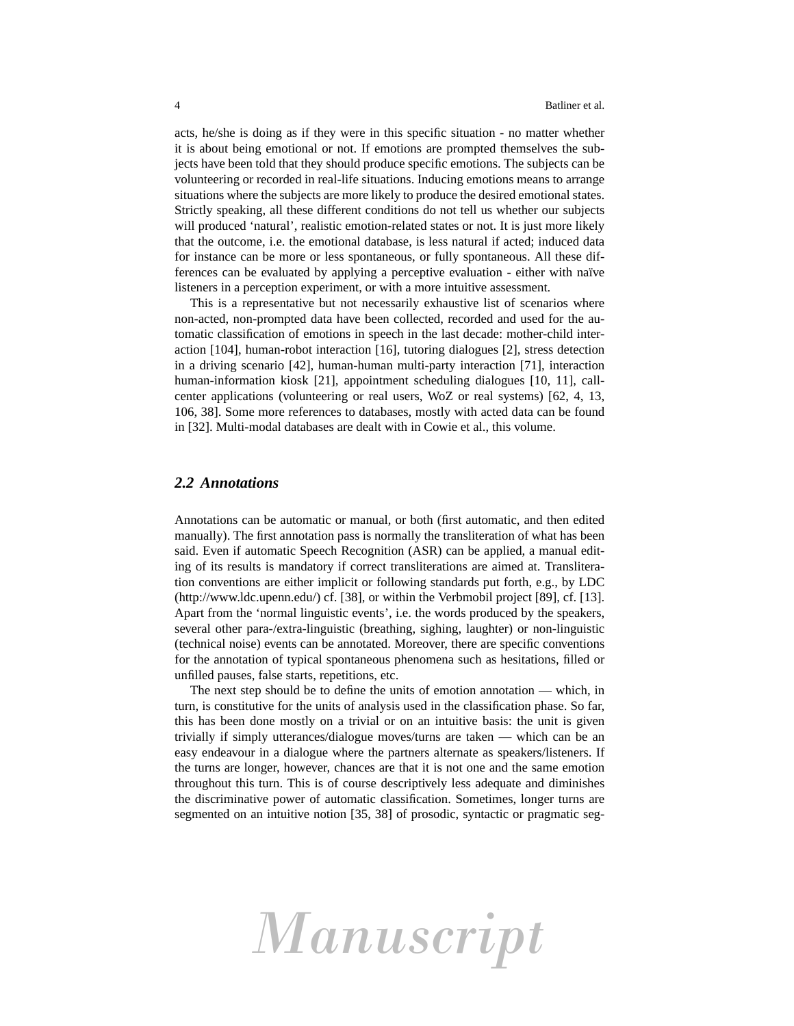acts, he/she is doing as if they were in this specific situation - no matter whether it is about being emotional or not. If emotions are prompted themselves the subjects have been told that they should produce specific emotions. The subjects can be volunteering or recorded in real-life situations. Inducing emotions means to arrange situations where the subjects are more likely to produce the desired emotional states. Strictly speaking, all these different conditions do not tell us whether our subjects will produced 'natural', realistic emotion-related states or not. It is just more likely that the outcome, i.e. the emotional database, is less natural if acted; induced data for instance can be more or less spontaneous, or fully spontaneous. All these differences can be evaluated by applying a perceptive evaluation - either with naïve listeners in a perception experiment, or with a more intuitive assessment.

This is a representative but not necessarily exhaustive list of scenarios where non-acted, non-prompted data have been collected, recorded and used for the automatic classification of emotions in speech in the last decade: mother-child interaction [104], human-robot interaction [16], tutoring dialogues [2], stress detection in a driving scenario [42], human-human multi-party interaction [71], interaction human-information kiosk [21], appointment scheduling dialogues [10, 11], callcenter applications (volunteering or real users, WoZ or real systems) [62, 4, 13, 106, 38]. Some more references to databases, mostly with acted data can be found in [32]. Multi-modal databases are dealt with in Cowie et al., this volume.

## *2.2 Annotations*

Annotations can be automatic or manual, or both (first automatic, and then edited manually). The first annotation pass is normally the transliteration of what has been said. Even if automatic Speech Recognition (ASR) can be applied, a manual editing of its results is mandatory if correct transliterations are aimed at. Transliteration conventions are either implicit or following standards put forth, e.g., by LDC (http://www.ldc.upenn.edu/) cf. [38], or within the Verbmobil project [89], cf. [13]. Apart from the 'normal linguistic events', i.e. the words produced by the speakers, several other para-/extra-linguistic (breathing, sighing, laughter) or non-linguistic (technical noise) events can be annotated. Moreover, there are specific conventions for the annotation of typical spontaneous phenomena such as hesitations, filled or unfilled pauses, false starts, repetitions, etc.

The next step should be to define the units of emotion annotation — which, in turn, is constitutive for the units of analysis used in the classification phase. So far, this has been done mostly on a trivial or on an intuitive basis: the unit is given trivially if simply utterances/dialogue moves/turns are taken — which can be an easy endeavour in a dialogue where the partners alternate as speakers/listeners. If the turns are longer, however, chances are that it is not one and the same emotion throughout this turn. This is of course descriptively less adequate and diminishes the discriminative power of automatic classification. Sometimes, longer turns are segmented on an intuitive notion [35, 38] of prosodic, syntactic or pragmatic seg-

*Manuscript*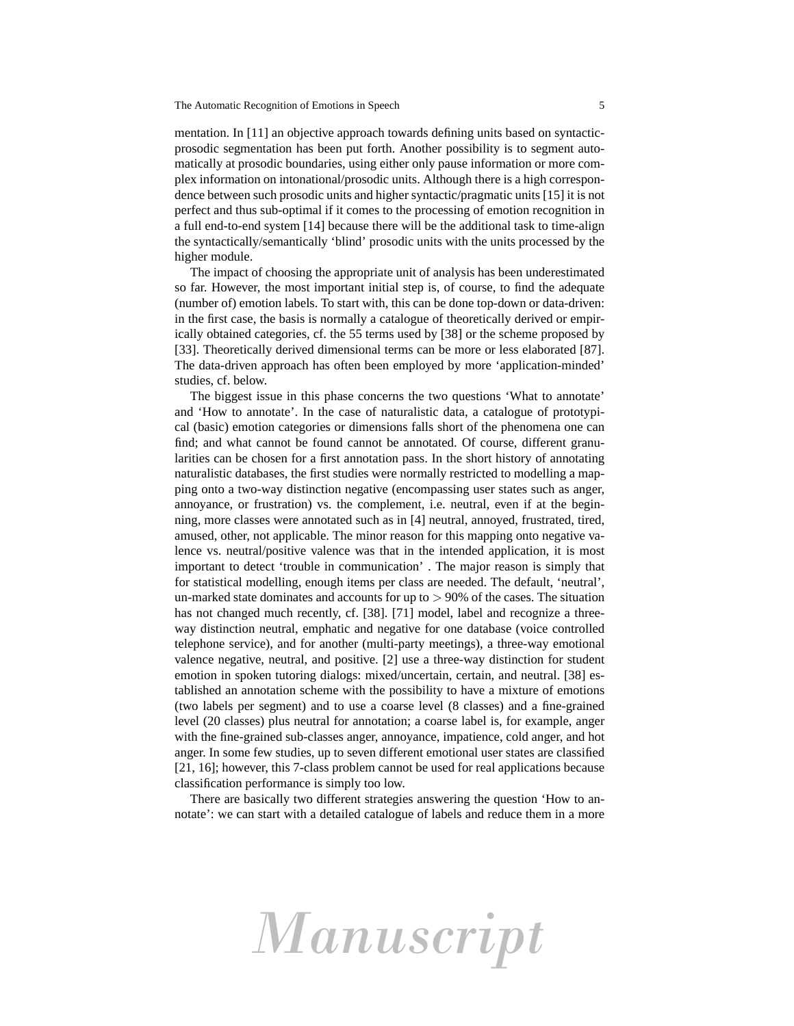mentation. In [11] an objective approach towards defining units based on syntacticprosodic segmentation has been put forth. Another possibility is to segment automatically at prosodic boundaries, using either only pause information or more complex information on intonational/prosodic units. Although there is a high correspondence between such prosodic units and higher syntactic/pragmatic units [15] it is not perfect and thus sub-optimal if it comes to the processing of emotion recognition in a full end-to-end system [14] because there will be the additional task to time-align the syntactically/semantically 'blind' prosodic units with the units processed by the higher module.

The impact of choosing the appropriate unit of analysis has been underestimated so far. However, the most important initial step is, of course, to find the adequate (number of) emotion labels. To start with, this can be done top-down or data-driven: in the first case, the basis is normally a catalogue of theoretically derived or empirically obtained categories, cf. the 55 terms used by [38] or the scheme proposed by [33]. Theoretically derived dimensional terms can be more or less elaborated [87]. The data-driven approach has often been employed by more 'application-minded' studies, cf. below.

The biggest issue in this phase concerns the two questions 'What to annotate' and 'How to annotate'. In the case of naturalistic data, a catalogue of prototypical (basic) emotion categories or dimensions falls short of the phenomena one can find; and what cannot be found cannot be annotated. Of course, different granularities can be chosen for a first annotation pass. In the short history of annotating naturalistic databases, the first studies were normally restricted to modelling a mapping onto a two-way distinction negative (encompassing user states such as anger, annoyance, or frustration) vs. the complement, i.e. neutral, even if at the beginning, more classes were annotated such as in [4] neutral, annoyed, frustrated, tired, amused, other, not applicable. The minor reason for this mapping onto negative valence vs. neutral/positive valence was that in the intended application, it is most important to detect 'trouble in communication' . The major reason is simply that for statistical modelling, enough items per class are needed. The default, 'neutral', un-marked state dominates and accounts for up to  $> 90\%$  of the cases. The situation has not changed much recently, cf. [38]. [71] model, label and recognize a threeway distinction neutral, emphatic and negative for one database (voice controlled telephone service), and for another (multi-party meetings), a three-way emotional valence negative, neutral, and positive. [2] use a three-way distinction for student emotion in spoken tutoring dialogs: mixed/uncertain, certain, and neutral. [38] established an annotation scheme with the possibility to have a mixture of emotions (two labels per segment) and to use a coarse level (8 classes) and a fine-grained level (20 classes) plus neutral for annotation; a coarse label is, for example, anger with the fine-grained sub-classes anger, annoyance, impatience, cold anger, and hot anger. In some few studies, up to seven different emotional user states are classified [21, 16]; however, this 7-class problem cannot be used for real applications because classification performance is simply too low.

There are basically two different strategies answering the question 'How to annotate': we can start with a detailed catalogue of labels and reduce them in a more

*Manuscript*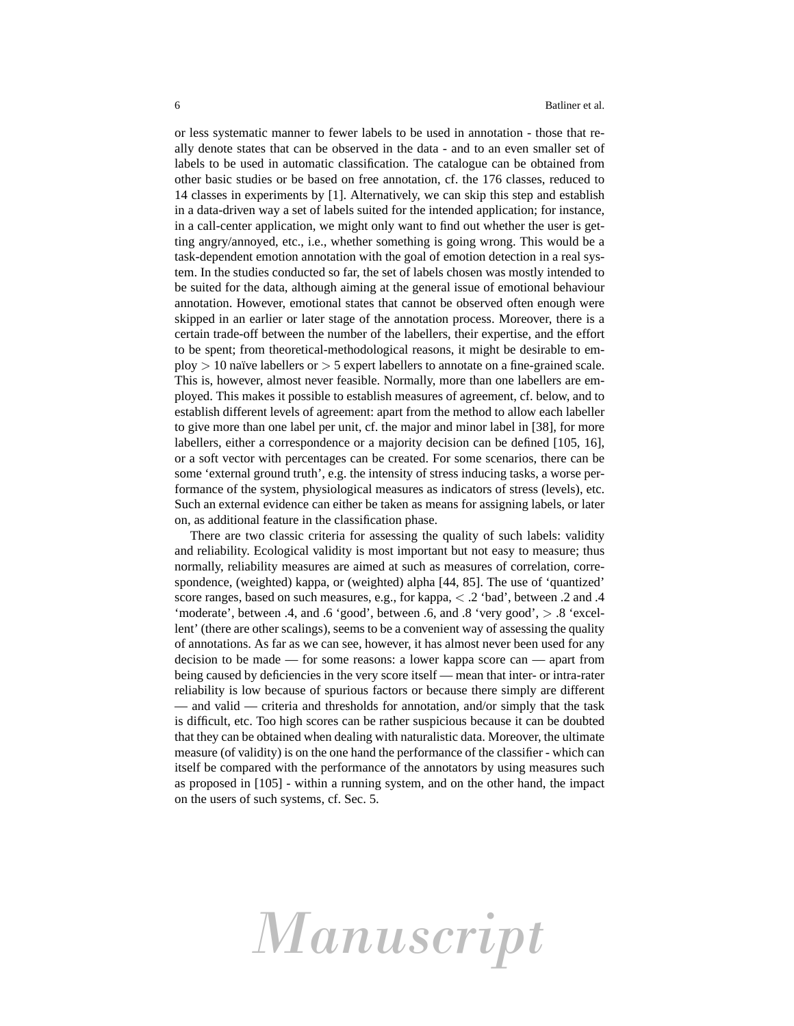or less systematic manner to fewer labels to be used in annotation - those that really denote states that can be observed in the data - and to an even smaller set of labels to be used in automatic classification. The catalogue can be obtained from other basic studies or be based on free annotation, cf. the 176 classes, reduced to 14 classes in experiments by [1]. Alternatively, we can skip this step and establish in a data-driven way a set of labels suited for the intended application; for instance, in a call-center application, we might only want to find out whether the user is getting angry/annoyed, etc., i.e., whether something is going wrong. This would be a task-dependent emotion annotation with the goal of emotion detection in a real system. In the studies conducted so far, the set of labels chosen was mostly intended to be suited for the data, although aiming at the general issue of emotional behaviour annotation. However, emotional states that cannot be observed often enough were skipped in an earlier or later stage of the annotation process. Moreover, there is a certain trade-off between the number of the labellers, their expertise, and the effort to be spent; from theoretical-methodological reasons, it might be desirable to employ  $> 10$  naïve labellers or  $> 5$  expert labellers to annotate on a fine-grained scale. This is, however, almost never feasible. Normally, more than one labellers are employed. This makes it possible to establish measures of agreement, cf. below, and to establish different levels of agreement: apart from the method to allow each labeller to give more than one label per unit, cf. the major and minor label in [38], for more labellers, either a correspondence or a majority decision can be defined [105, 16], or a soft vector with percentages can be created. For some scenarios, there can be some 'external ground truth', e.g. the intensity of stress inducing tasks, a worse performance of the system, physiological measures as indicators of stress (levels), etc. Such an external evidence can either be taken as means for assigning labels, or later on, as additional feature in the classification phase.

There are two classic criteria for assessing the quality of such labels: validity and reliability. Ecological validity is most important but not easy to measure; thus normally, reliability measures are aimed at such as measures of correlation, correspondence, (weighted) kappa, or (weighted) alpha [44, 85]. The use of 'quantized' score ranges, based on such measures, e.g., for kappa, < .2 'bad', between .2 and .4 'moderate', between .4, and .6 'good', between .6, and .8 'very good', > .8 'excellent' (there are other scalings), seems to be a convenient way of assessing the quality of annotations. As far as we can see, however, it has almost never been used for any decision to be made — for some reasons: a lower kappa score can — apart from being caused by deficiencies in the very score itself — mean that inter- or intra-rater reliability is low because of spurious factors or because there simply are different — and valid — criteria and thresholds for annotation, and/or simply that the task is difficult, etc. Too high scores can be rather suspicious because it can be doubted that they can be obtained when dealing with naturalistic data. Moreover, the ultimate measure (of validity) is on the one hand the performance of the classifier - which can itself be compared with the performance of the annotators by using measures such as proposed in [105] - within a running system, and on the other hand, the impact on the users of such systems, cf. Sec. 5.

*Manuscript*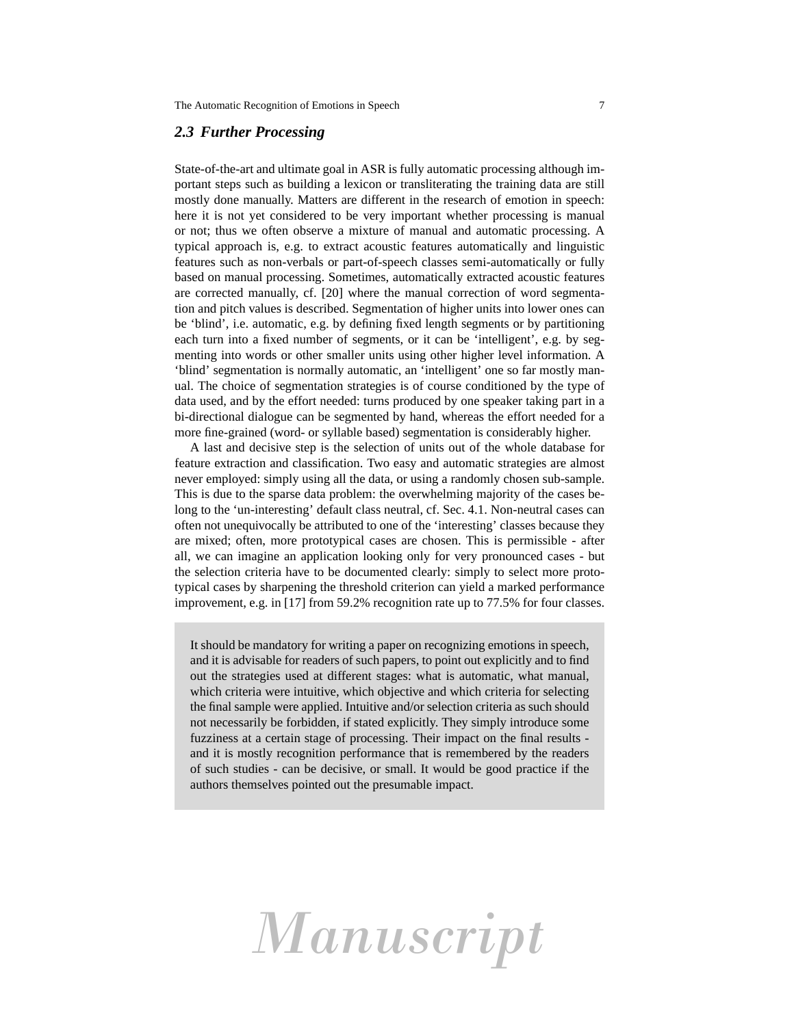#### *2.3 Further Processing*

State-of-the-art and ultimate goal in ASR is fully automatic processing although important steps such as building a lexicon or transliterating the training data are still mostly done manually. Matters are different in the research of emotion in speech: here it is not yet considered to be very important whether processing is manual or not; thus we often observe a mixture of manual and automatic processing. A typical approach is, e.g. to extract acoustic features automatically and linguistic features such as non-verbals or part-of-speech classes semi-automatically or fully based on manual processing. Sometimes, automatically extracted acoustic features are corrected manually, cf. [20] where the manual correction of word segmentation and pitch values is described. Segmentation of higher units into lower ones can be 'blind', i.e. automatic, e.g. by defining fixed length segments or by partitioning each turn into a fixed number of segments, or it can be 'intelligent', e.g. by segmenting into words or other smaller units using other higher level information. A 'blind' segmentation is normally automatic, an 'intelligent' one so far mostly manual. The choice of segmentation strategies is of course conditioned by the type of data used, and by the effort needed: turns produced by one speaker taking part in a bi-directional dialogue can be segmented by hand, whereas the effort needed for a more fine-grained (word- or syllable based) segmentation is considerably higher.

A last and decisive step is the selection of units out of the whole database for feature extraction and classification. Two easy and automatic strategies are almost never employed: simply using all the data, or using a randomly chosen sub-sample. This is due to the sparse data problem: the overwhelming majority of the cases belong to the 'un-interesting' default class neutral, cf. Sec. 4.1. Non-neutral cases can often not unequivocally be attributed to one of the 'interesting' classes because they are mixed; often, more prototypical cases are chosen. This is permissible - after all, we can imagine an application looking only for very pronounced cases - but the selection criteria have to be documented clearly: simply to select more prototypical cases by sharpening the threshold criterion can yield a marked performance improvement, e.g. in [17] from 59.2% recognition rate up to 77.5% for four classes.

It should be mandatory for writing a paper on recognizing emotions in speech, and it is advisable for readers of such papers, to point out explicitly and to find out the strategies used at different stages: what is automatic, what manual, which criteria were intuitive, which objective and which criteria for selecting the final sample were applied. Intuitive and/or selection criteria as such should not necessarily be forbidden, if stated explicitly. They simply introduce some fuzziness at a certain stage of processing. Their impact on the final results and it is mostly recognition performance that is remembered by the readers of such studies - can be decisive, or small. It would be good practice if the authors themselves pointed out the presumable impact.

*Manuscript*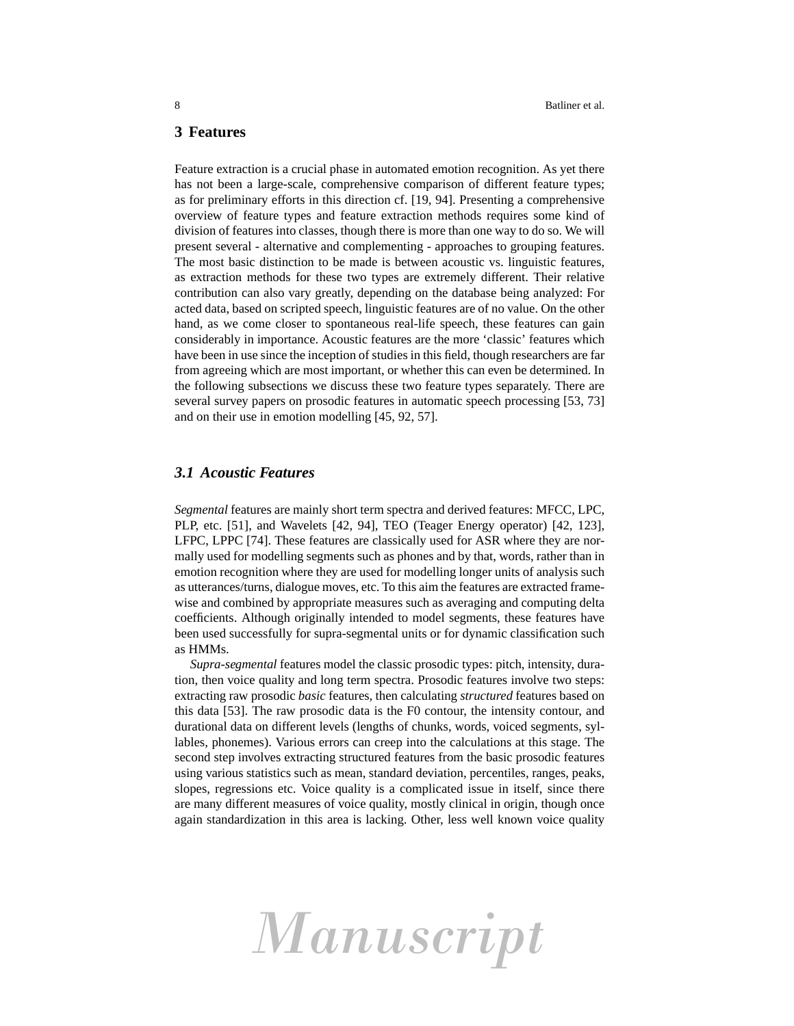### **3 Features**

Feature extraction is a crucial phase in automated emotion recognition. As yet there has not been a large-scale, comprehensive comparison of different feature types; as for preliminary efforts in this direction cf. [19, 94]. Presenting a comprehensive overview of feature types and feature extraction methods requires some kind of division of features into classes, though there is more than one way to do so. We will present several - alternative and complementing - approaches to grouping features. The most basic distinction to be made is between acoustic vs. linguistic features, as extraction methods for these two types are extremely different. Their relative contribution can also vary greatly, depending on the database being analyzed: For acted data, based on scripted speech, linguistic features are of no value. On the other hand, as we come closer to spontaneous real-life speech, these features can gain considerably in importance. Acoustic features are the more 'classic' features which have been in use since the inception of studies in this field, though researchers are far from agreeing which are most important, or whether this can even be determined. In the following subsections we discuss these two feature types separately. There are several survey papers on prosodic features in automatic speech processing [53, 73] and on their use in emotion modelling [45, 92, 57].

### *3.1 Acoustic Features*

*Segmental* features are mainly short term spectra and derived features: MFCC, LPC, PLP, etc. [51], and Wavelets [42, 94], TEO (Teager Energy operator) [42, 123], LFPC, LPPC [74]. These features are classically used for ASR where they are normally used for modelling segments such as phones and by that, words, rather than in emotion recognition where they are used for modelling longer units of analysis such as utterances/turns, dialogue moves, etc. To this aim the features are extracted framewise and combined by appropriate measures such as averaging and computing delta coefficients. Although originally intended to model segments, these features have been used successfully for supra-segmental units or for dynamic classification such as HMMs.

*Supra-segmental* features model the classic prosodic types: pitch, intensity, duration, then voice quality and long term spectra. Prosodic features involve two steps: extracting raw prosodic *basic* features, then calculating *structured* features based on this data [53]. The raw prosodic data is the F0 contour, the intensity contour, and durational data on different levels (lengths of chunks, words, voiced segments, syllables, phonemes). Various errors can creep into the calculations at this stage. The second step involves extracting structured features from the basic prosodic features using various statistics such as mean, standard deviation, percentiles, ranges, peaks, slopes, regressions etc. Voice quality is a complicated issue in itself, since there are many different measures of voice quality, mostly clinical in origin, though once again standardization in this area is lacking. Other, less well known voice quality

*Manuscript*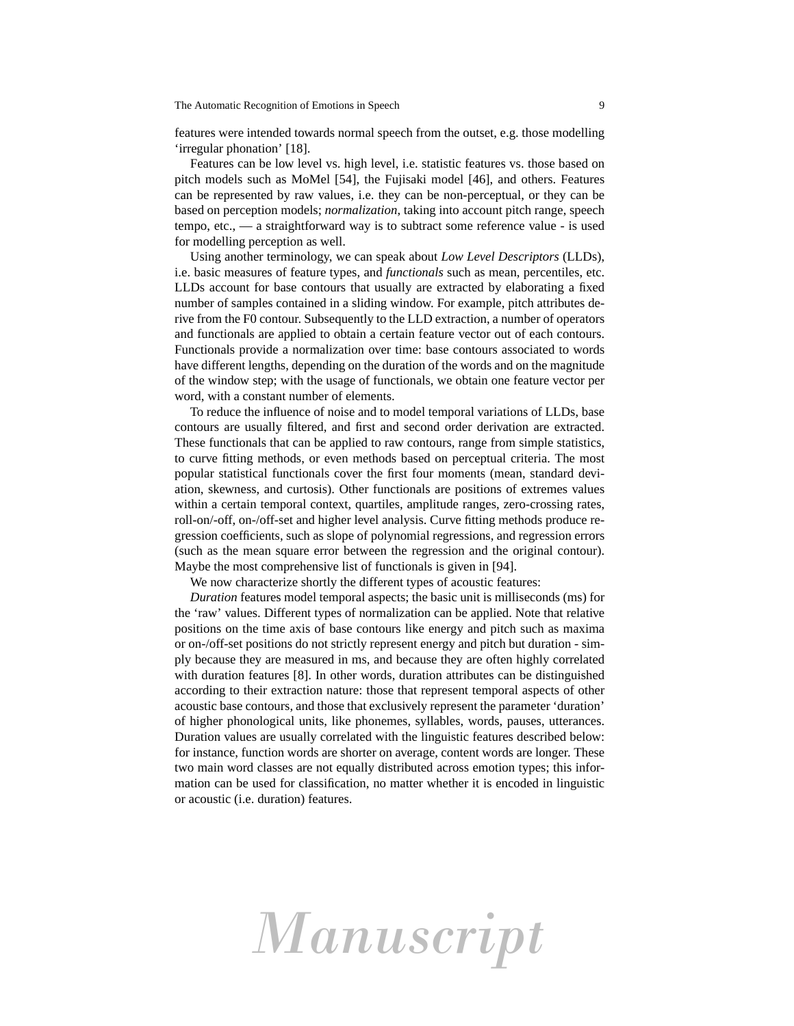#### The Automatic Recognition of Emotions in Speech 9

features were intended towards normal speech from the outset, e.g. those modelling 'irregular phonation' [18].

Features can be low level vs. high level, i.e. statistic features vs. those based on pitch models such as MoMel [54], the Fujisaki model [46], and others. Features can be represented by raw values, i.e. they can be non-perceptual, or they can be based on perception models; *normalization*, taking into account pitch range, speech tempo, etc., — a straightforward way is to subtract some reference value - is used for modelling perception as well.

Using another terminology, we can speak about *Low Level Descriptors* (LLDs), i.e. basic measures of feature types, and *functionals* such as mean, percentiles, etc. LLDs account for base contours that usually are extracted by elaborating a fixed number of samples contained in a sliding window. For example, pitch attributes derive from the F0 contour. Subsequently to the LLD extraction, a number of operators and functionals are applied to obtain a certain feature vector out of each contours. Functionals provide a normalization over time: base contours associated to words have different lengths, depending on the duration of the words and on the magnitude of the window step; with the usage of functionals, we obtain one feature vector per word, with a constant number of elements.

To reduce the influence of noise and to model temporal variations of LLDs, base contours are usually filtered, and first and second order derivation are extracted. These functionals that can be applied to raw contours, range from simple statistics, to curve fitting methods, or even methods based on perceptual criteria. The most popular statistical functionals cover the first four moments (mean, standard deviation, skewness, and curtosis). Other functionals are positions of extremes values within a certain temporal context, quartiles, amplitude ranges, zero-crossing rates, roll-on/-off, on-/off-set and higher level analysis. Curve fitting methods produce regression coefficients, such as slope of polynomial regressions, and regression errors (such as the mean square error between the regression and the original contour). Maybe the most comprehensive list of functionals is given in [94].

We now characterize shortly the different types of acoustic features:

*Duration* features model temporal aspects; the basic unit is milliseconds (ms) for the 'raw' values. Different types of normalization can be applied. Note that relative positions on the time axis of base contours like energy and pitch such as maxima or on-/off-set positions do not strictly represent energy and pitch but duration - simply because they are measured in ms, and because they are often highly correlated with duration features [8]. In other words, duration attributes can be distinguished according to their extraction nature: those that represent temporal aspects of other acoustic base contours, and those that exclusively represent the parameter 'duration' of higher phonological units, like phonemes, syllables, words, pauses, utterances. Duration values are usually correlated with the linguistic features described below: for instance, function words are shorter on average, content words are longer. These two main word classes are not equally distributed across emotion types; this information can be used for classification, no matter whether it is encoded in linguistic or acoustic (i.e. duration) features.

*Manuscript*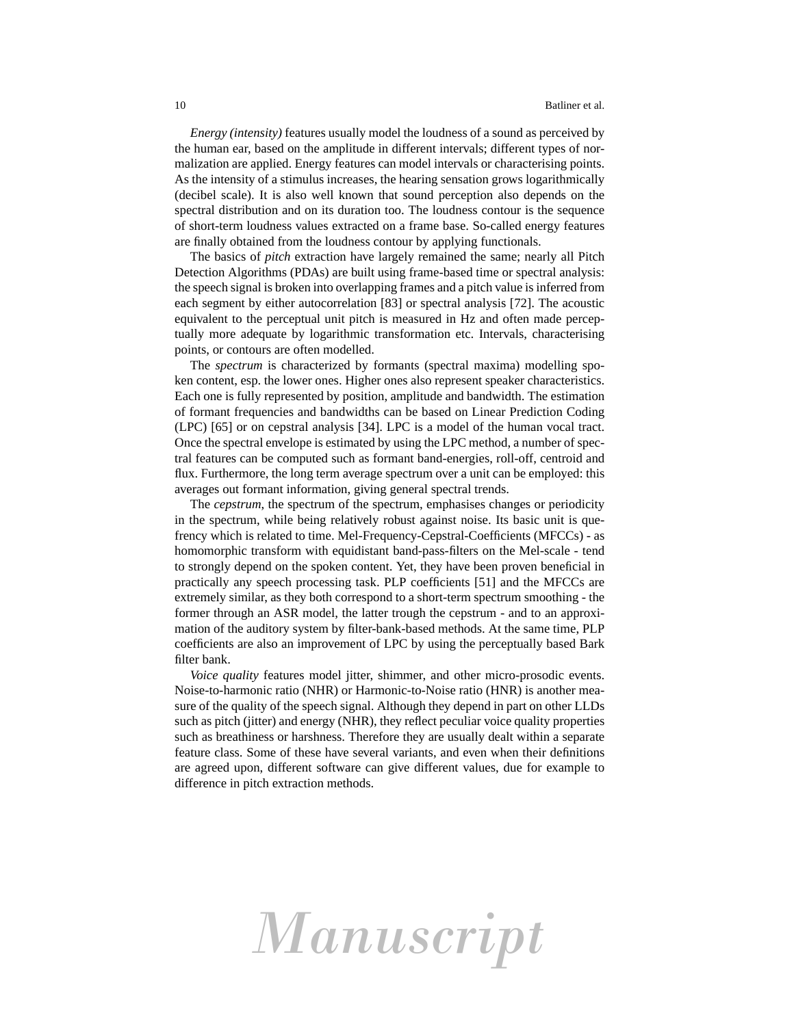*Energy (intensity)* features usually model the loudness of a sound as perceived by the human ear, based on the amplitude in different intervals; different types of normalization are applied. Energy features can model intervals or characterising points. As the intensity of a stimulus increases, the hearing sensation grows logarithmically (decibel scale). It is also well known that sound perception also depends on the spectral distribution and on its duration too. The loudness contour is the sequence of short-term loudness values extracted on a frame base. So-called energy features are finally obtained from the loudness contour by applying functionals.

The basics of *pitch* extraction have largely remained the same; nearly all Pitch Detection Algorithms (PDAs) are built using frame-based time or spectral analysis: the speech signal is broken into overlapping frames and a pitch value is inferred from each segment by either autocorrelation [83] or spectral analysis [72]. The acoustic equivalent to the perceptual unit pitch is measured in Hz and often made perceptually more adequate by logarithmic transformation etc. Intervals, characterising points, or contours are often modelled.

The *spectrum* is characterized by formants (spectral maxima) modelling spoken content, esp. the lower ones. Higher ones also represent speaker characteristics. Each one is fully represented by position, amplitude and bandwidth. The estimation of formant frequencies and bandwidths can be based on Linear Prediction Coding (LPC) [65] or on cepstral analysis [34]. LPC is a model of the human vocal tract. Once the spectral envelope is estimated by using the LPC method, a number of spectral features can be computed such as formant band-energies, roll-off, centroid and flux. Furthermore, the long term average spectrum over a unit can be employed: this averages out formant information, giving general spectral trends.

The *cepstrum*, the spectrum of the spectrum, emphasises changes or periodicity in the spectrum, while being relatively robust against noise. Its basic unit is quefrency which is related to time. Mel-Frequency-Cepstral-Coefficients (MFCCs) - as homomorphic transform with equidistant band-pass-filters on the Mel-scale - tend to strongly depend on the spoken content. Yet, they have been proven beneficial in practically any speech processing task. PLP coefficients [51] and the MFCCs are extremely similar, as they both correspond to a short-term spectrum smoothing - the former through an ASR model, the latter trough the cepstrum - and to an approximation of the auditory system by filter-bank-based methods. At the same time, PLP coefficients are also an improvement of LPC by using the perceptually based Bark filter bank.

*Voice quality* features model jitter, shimmer, and other micro-prosodic events. Noise-to-harmonic ratio (NHR) or Harmonic-to-Noise ratio (HNR) is another measure of the quality of the speech signal. Although they depend in part on other LLDs such as pitch (jitter) and energy (NHR), they reflect peculiar voice quality properties such as breathiness or harshness. Therefore they are usually dealt within a separate feature class. Some of these have several variants, and even when their definitions are agreed upon, different software can give different values, due for example to difference in pitch extraction methods.

*Manuscript*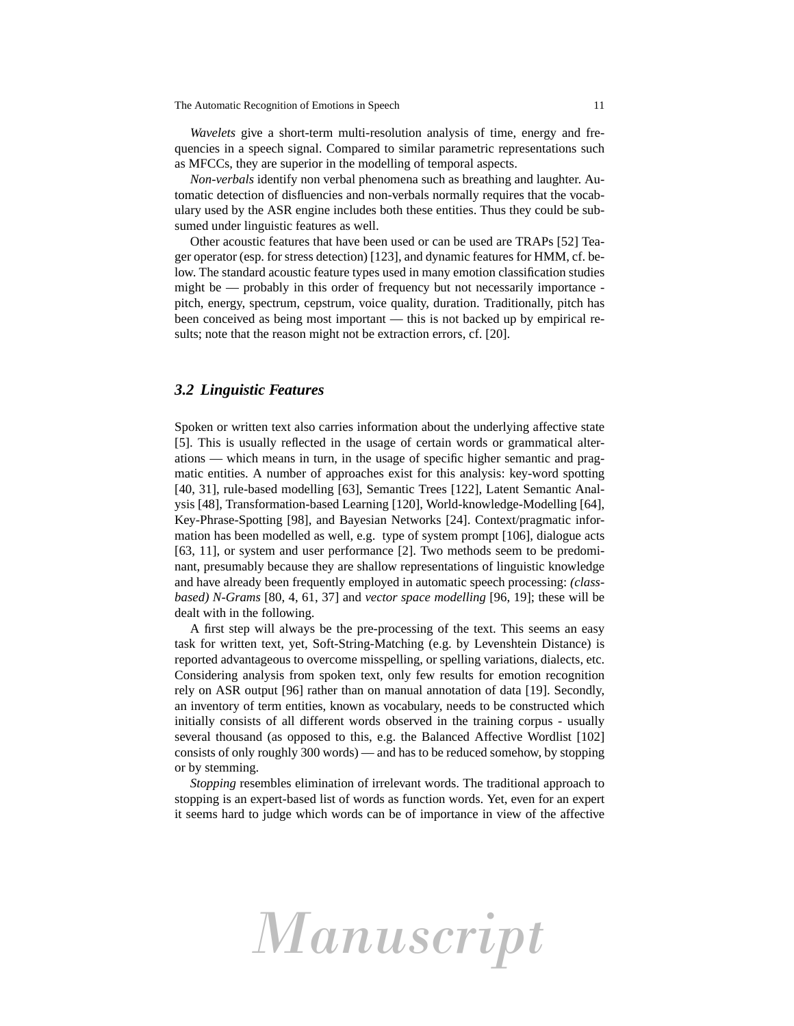*Wavelets* give a short-term multi-resolution analysis of time, energy and frequencies in a speech signal. Compared to similar parametric representations such as MFCCs, they are superior in the modelling of temporal aspects.

*Non-verbals* identify non verbal phenomena such as breathing and laughter. Automatic detection of disfluencies and non-verbals normally requires that the vocabulary used by the ASR engine includes both these entities. Thus they could be subsumed under linguistic features as well.

Other acoustic features that have been used or can be used are TRAPs [52] Teager operator (esp. for stress detection) [123], and dynamic features for HMM, cf. below. The standard acoustic feature types used in many emotion classification studies might be — probably in this order of frequency but not necessarily importance pitch, energy, spectrum, cepstrum, voice quality, duration. Traditionally, pitch has been conceived as being most important — this is not backed up by empirical results; note that the reason might not be extraction errors, cf. [20].

## *3.2 Linguistic Features*

Spoken or written text also carries information about the underlying affective state [5]. This is usually reflected in the usage of certain words or grammatical alterations — which means in turn, in the usage of specific higher semantic and pragmatic entities. A number of approaches exist for this analysis: key-word spotting [40, 31], rule-based modelling [63], Semantic Trees [122], Latent Semantic Analysis [48], Transformation-based Learning [120], World-knowledge-Modelling [64], Key-Phrase-Spotting [98], and Bayesian Networks [24]. Context/pragmatic information has been modelled as well, e.g. type of system prompt [106], dialogue acts [63, 11], or system and user performance [2]. Two methods seem to be predominant, presumably because they are shallow representations of linguistic knowledge and have already been frequently employed in automatic speech processing: *(classbased) N-Grams* [80, 4, 61, 37] and *vector space modelling* [96, 19]; these will be dealt with in the following.

A first step will always be the pre-processing of the text. This seems an easy task for written text, yet, Soft-String-Matching (e.g. by Levenshtein Distance) is reported advantageous to overcome misspelling, or spelling variations, dialects, etc. Considering analysis from spoken text, only few results for emotion recognition rely on ASR output [96] rather than on manual annotation of data [19]. Secondly, an inventory of term entities, known as vocabulary, needs to be constructed which initially consists of all different words observed in the training corpus - usually several thousand (as opposed to this, e.g. the Balanced Affective Wordlist [102] consists of only roughly 300 words) — and has to be reduced somehow, by stopping or by stemming.

*Stopping* resembles elimination of irrelevant words. The traditional approach to stopping is an expert-based list of words as function words. Yet, even for an expert it seems hard to judge which words can be of importance in view of the affective

*Manuscript*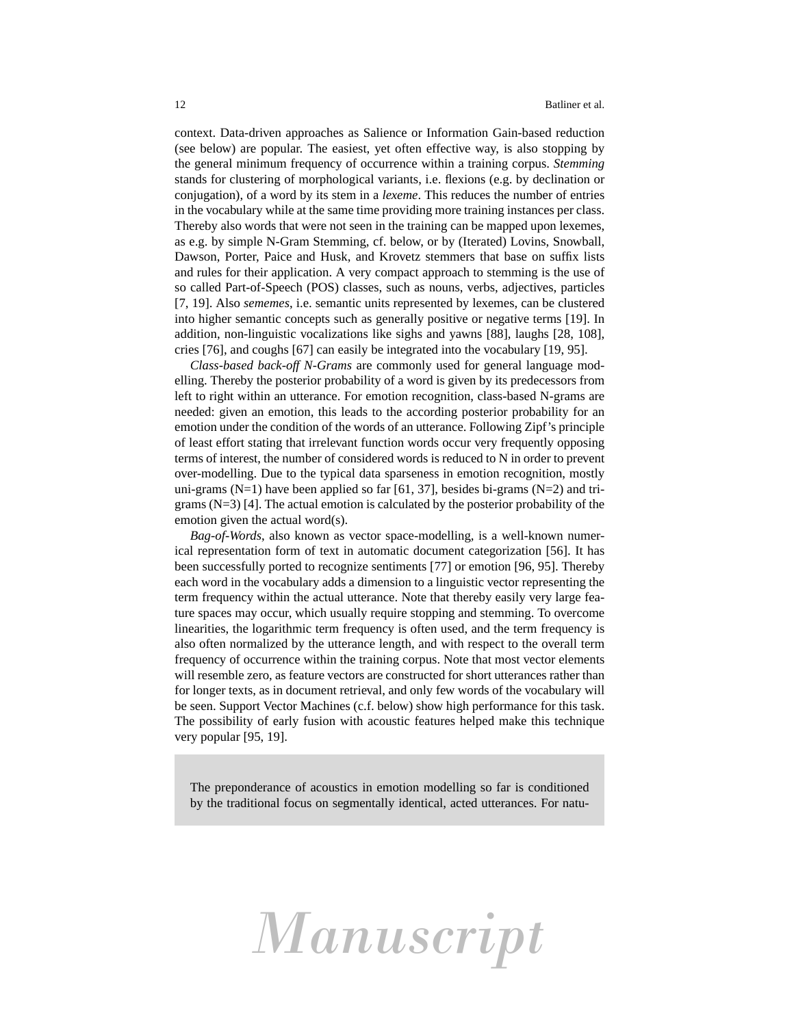context. Data-driven approaches as Salience or Information Gain-based reduction (see below) are popular. The easiest, yet often effective way, is also stopping by the general minimum frequency of occurrence within a training corpus. *Stemming* stands for clustering of morphological variants, i.e. flexions (e.g. by declination or conjugation), of a word by its stem in a *lexeme*. This reduces the number of entries in the vocabulary while at the same time providing more training instances per class. Thereby also words that were not seen in the training can be mapped upon lexemes, as e.g. by simple N-Gram Stemming, cf. below, or by (Iterated) Lovins, Snowball, Dawson, Porter, Paice and Husk, and Krovetz stemmers that base on suffix lists and rules for their application. A very compact approach to stemming is the use of so called Part-of-Speech (POS) classes, such as nouns, verbs, adjectives, particles [7, 19]. Also *sememes*, i.e. semantic units represented by lexemes, can be clustered into higher semantic concepts such as generally positive or negative terms [19]. In addition, non-linguistic vocalizations like sighs and yawns [88], laughs [28, 108], cries [76], and coughs [67] can easily be integrated into the vocabulary [19, 95].

*Class-based back-off N-Grams* are commonly used for general language modelling. Thereby the posterior probability of a word is given by its predecessors from left to right within an utterance. For emotion recognition, class-based N-grams are needed: given an emotion, this leads to the according posterior probability for an emotion under the condition of the words of an utterance. Following Zipf's principle of least effort stating that irrelevant function words occur very frequently opposing terms of interest, the number of considered words is reduced to N in order to prevent over-modelling. Due to the typical data sparseness in emotion recognition, mostly uni-grams (N=1) have been applied so far [61, 37], besides bi-grams (N=2) and trigrams (N=3) [4]. The actual emotion is calculated by the posterior probability of the emotion given the actual word(s).

*Bag-of-Words*, also known as vector space-modelling, is a well-known numerical representation form of text in automatic document categorization [56]. It has been successfully ported to recognize sentiments [77] or emotion [96, 95]. Thereby each word in the vocabulary adds a dimension to a linguistic vector representing the term frequency within the actual utterance. Note that thereby easily very large feature spaces may occur, which usually require stopping and stemming. To overcome linearities, the logarithmic term frequency is often used, and the term frequency is also often normalized by the utterance length, and with respect to the overall term frequency of occurrence within the training corpus. Note that most vector elements will resemble zero, as feature vectors are constructed for short utterances rather than for longer texts, as in document retrieval, and only few words of the vocabulary will be seen. Support Vector Machines (c.f. below) show high performance for this task. The possibility of early fusion with acoustic features helped make this technique very popular [95, 19].

The preponderance of acoustics in emotion modelling so far is conditioned by the traditional focus on segmentally identical, acted utterances. For natu-

*Manuscript*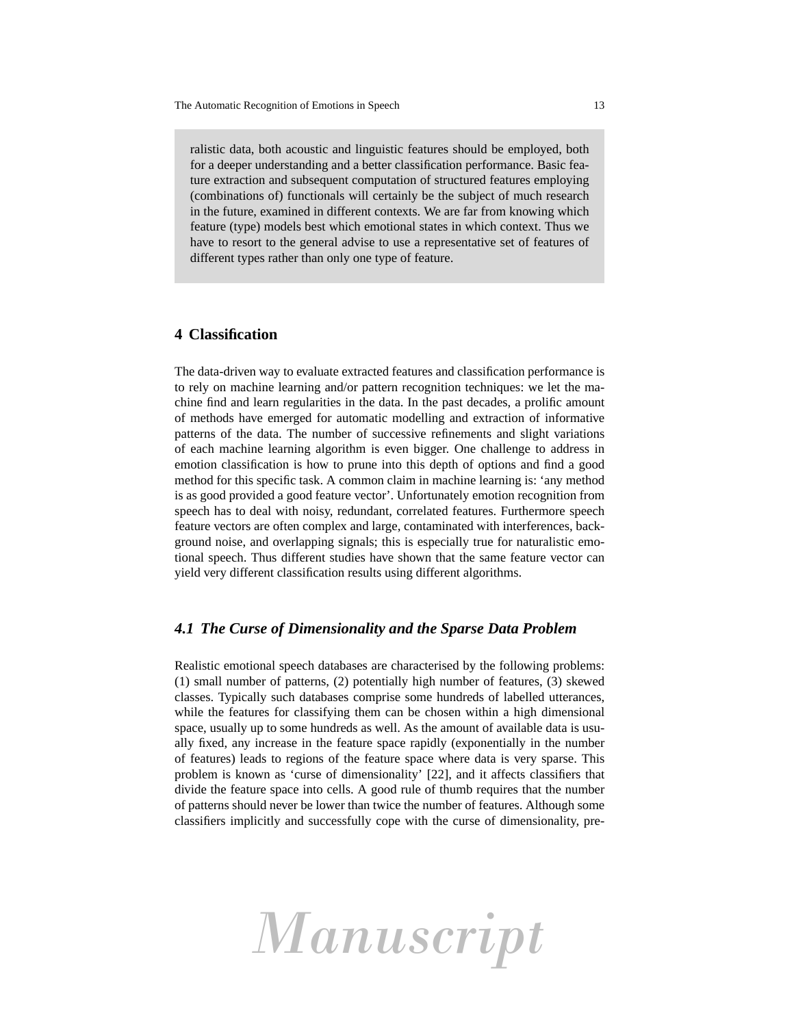ralistic data, both acoustic and linguistic features should be employed, both for a deeper understanding and a better classification performance. Basic feature extraction and subsequent computation of structured features employing (combinations of) functionals will certainly be the subject of much research in the future, examined in different contexts. We are far from knowing which feature (type) models best which emotional states in which context. Thus we have to resort to the general advise to use a representative set of features of different types rather than only one type of feature.

## **4 Classification**

The data-driven way to evaluate extracted features and classification performance is to rely on machine learning and/or pattern recognition techniques: we let the machine find and learn regularities in the data. In the past decades, a prolific amount of methods have emerged for automatic modelling and extraction of informative patterns of the data. The number of successive refinements and slight variations of each machine learning algorithm is even bigger. One challenge to address in emotion classification is how to prune into this depth of options and find a good method for this specific task. A common claim in machine learning is: 'any method is as good provided a good feature vector'. Unfortunately emotion recognition from speech has to deal with noisy, redundant, correlated features. Furthermore speech feature vectors are often complex and large, contaminated with interferences, background noise, and overlapping signals; this is especially true for naturalistic emotional speech. Thus different studies have shown that the same feature vector can yield very different classification results using different algorithms.

### *4.1 The Curse of Dimensionality and the Sparse Data Problem*

Realistic emotional speech databases are characterised by the following problems: (1) small number of patterns, (2) potentially high number of features, (3) skewed classes. Typically such databases comprise some hundreds of labelled utterances, while the features for classifying them can be chosen within a high dimensional space, usually up to some hundreds as well. As the amount of available data is usually fixed, any increase in the feature space rapidly (exponentially in the number of features) leads to regions of the feature space where data is very sparse. This problem is known as 'curse of dimensionality' [22], and it affects classifiers that divide the feature space into cells. A good rule of thumb requires that the number of patterns should never be lower than twice the number of features. Although some classifiers implicitly and successfully cope with the curse of dimensionality, pre-

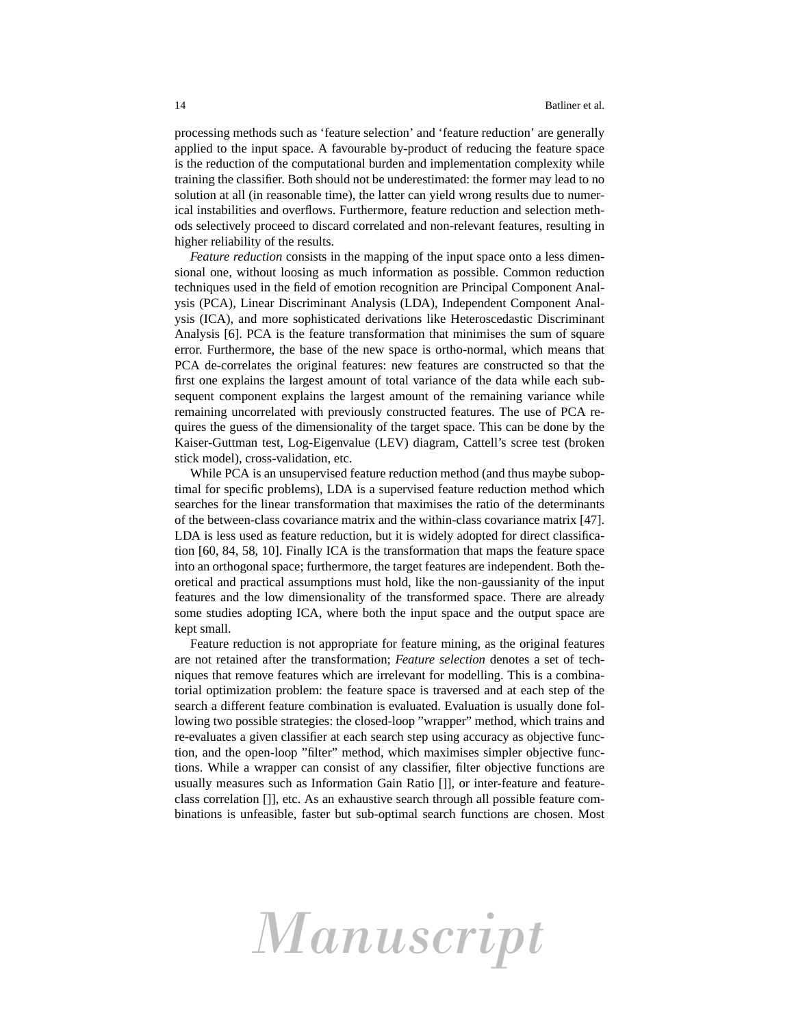processing methods such as 'feature selection' and 'feature reduction' are generally applied to the input space. A favourable by-product of reducing the feature space is the reduction of the computational burden and implementation complexity while training the classifier. Both should not be underestimated: the former may lead to no solution at all (in reasonable time), the latter can yield wrong results due to numerical instabilities and overflows. Furthermore, feature reduction and selection methods selectively proceed to discard correlated and non-relevant features, resulting in higher reliability of the results.

*Feature reduction* consists in the mapping of the input space onto a less dimensional one, without loosing as much information as possible. Common reduction techniques used in the field of emotion recognition are Principal Component Analysis (PCA), Linear Discriminant Analysis (LDA), Independent Component Analysis (ICA), and more sophisticated derivations like Heteroscedastic Discriminant Analysis [6]. PCA is the feature transformation that minimises the sum of square error. Furthermore, the base of the new space is ortho-normal, which means that PCA de-correlates the original features: new features are constructed so that the first one explains the largest amount of total variance of the data while each subsequent component explains the largest amount of the remaining variance while remaining uncorrelated with previously constructed features. The use of PCA requires the guess of the dimensionality of the target space. This can be done by the Kaiser-Guttman test, Log-Eigenvalue (LEV) diagram, Cattell's scree test (broken stick model), cross-validation, etc.

While PCA is an unsupervised feature reduction method (and thus maybe suboptimal for specific problems), LDA is a supervised feature reduction method which searches for the linear transformation that maximises the ratio of the determinants of the between-class covariance matrix and the within-class covariance matrix [47]. LDA is less used as feature reduction, but it is widely adopted for direct classification [60, 84, 58, 10]. Finally ICA is the transformation that maps the feature space into an orthogonal space; furthermore, the target features are independent. Both theoretical and practical assumptions must hold, like the non-gaussianity of the input features and the low dimensionality of the transformed space. There are already some studies adopting ICA, where both the input space and the output space are kept small.

Feature reduction is not appropriate for feature mining, as the original features are not retained after the transformation; *Feature selection* denotes a set of techniques that remove features which are irrelevant for modelling. This is a combinatorial optimization problem: the feature space is traversed and at each step of the search a different feature combination is evaluated. Evaluation is usually done following two possible strategies: the closed-loop "wrapper" method, which trains and re-evaluates a given classifier at each search step using accuracy as objective function, and the open-loop "filter" method, which maximises simpler objective functions. While a wrapper can consist of any classifier, filter objective functions are usually measures such as Information Gain Ratio []], or inter-feature and featureclass correlation []], etc. As an exhaustive search through all possible feature combinations is unfeasible, faster but sub-optimal search functions are chosen. Most

*Manuscript*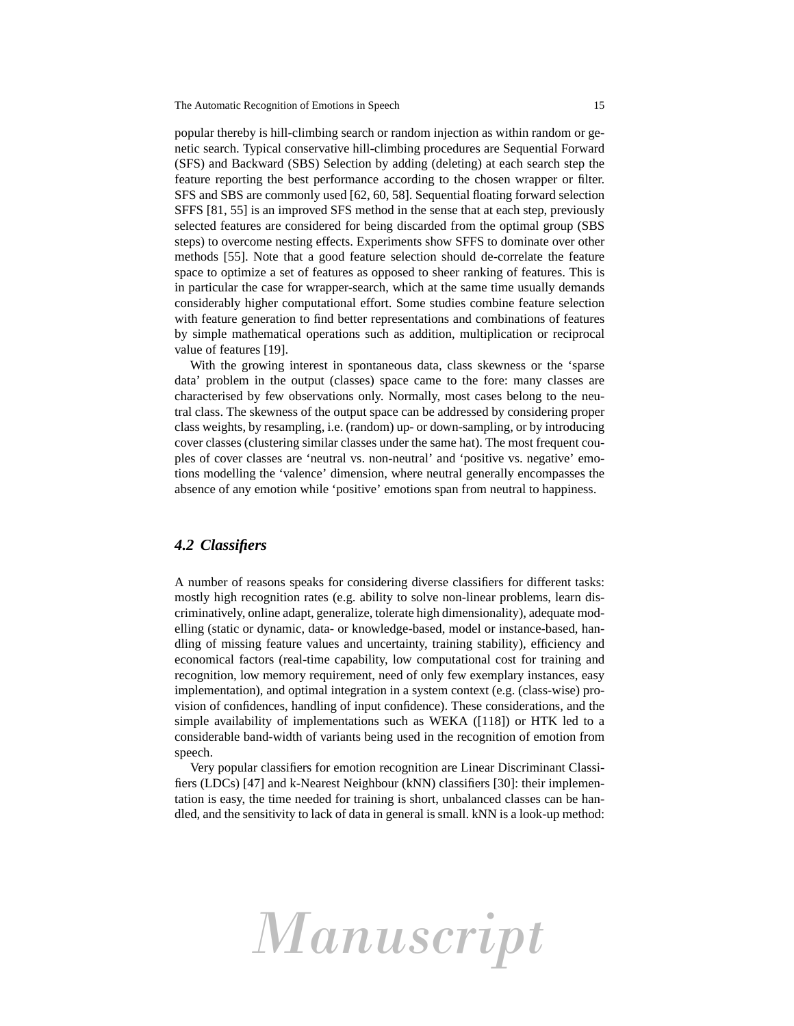popular thereby is hill-climbing search or random injection as within random or genetic search. Typical conservative hill-climbing procedures are Sequential Forward (SFS) and Backward (SBS) Selection by adding (deleting) at each search step the feature reporting the best performance according to the chosen wrapper or filter. SFS and SBS are commonly used [62, 60, 58]. Sequential floating forward selection SFFS [81, 55] is an improved SFS method in the sense that at each step, previously selected features are considered for being discarded from the optimal group (SBS steps) to overcome nesting effects. Experiments show SFFS to dominate over other methods [55]. Note that a good feature selection should de-correlate the feature space to optimize a set of features as opposed to sheer ranking of features. This is in particular the case for wrapper-search, which at the same time usually demands considerably higher computational effort. Some studies combine feature selection with feature generation to find better representations and combinations of features by simple mathematical operations such as addition, multiplication or reciprocal value of features [19].

With the growing interest in spontaneous data, class skewness or the 'sparse data' problem in the output (classes) space came to the fore: many classes are characterised by few observations only. Normally, most cases belong to the neutral class. The skewness of the output space can be addressed by considering proper class weights, by resampling, i.e. (random) up- or down-sampling, or by introducing cover classes (clustering similar classes under the same hat). The most frequent couples of cover classes are 'neutral vs. non-neutral' and 'positive vs. negative' emotions modelling the 'valence' dimension, where neutral generally encompasses the absence of any emotion while 'positive' emotions span from neutral to happiness.

#### *4.2 Classifiers*

A number of reasons speaks for considering diverse classifiers for different tasks: mostly high recognition rates (e.g. ability to solve non-linear problems, learn discriminatively, online adapt, generalize, tolerate high dimensionality), adequate modelling (static or dynamic, data- or knowledge-based, model or instance-based, handling of missing feature values and uncertainty, training stability), efficiency and economical factors (real-time capability, low computational cost for training and recognition, low memory requirement, need of only few exemplary instances, easy implementation), and optimal integration in a system context (e.g. (class-wise) provision of confidences, handling of input confidence). These considerations, and the simple availability of implementations such as WEKA ([118]) or HTK led to a considerable band-width of variants being used in the recognition of emotion from speech.

Very popular classifiers for emotion recognition are Linear Discriminant Classifiers (LDCs) [47] and k-Nearest Neighbour (kNN) classifiers [30]: their implementation is easy, the time needed for training is short, unbalanced classes can be handled, and the sensitivity to lack of data in general is small. kNN is a look-up method:

*Manuscript*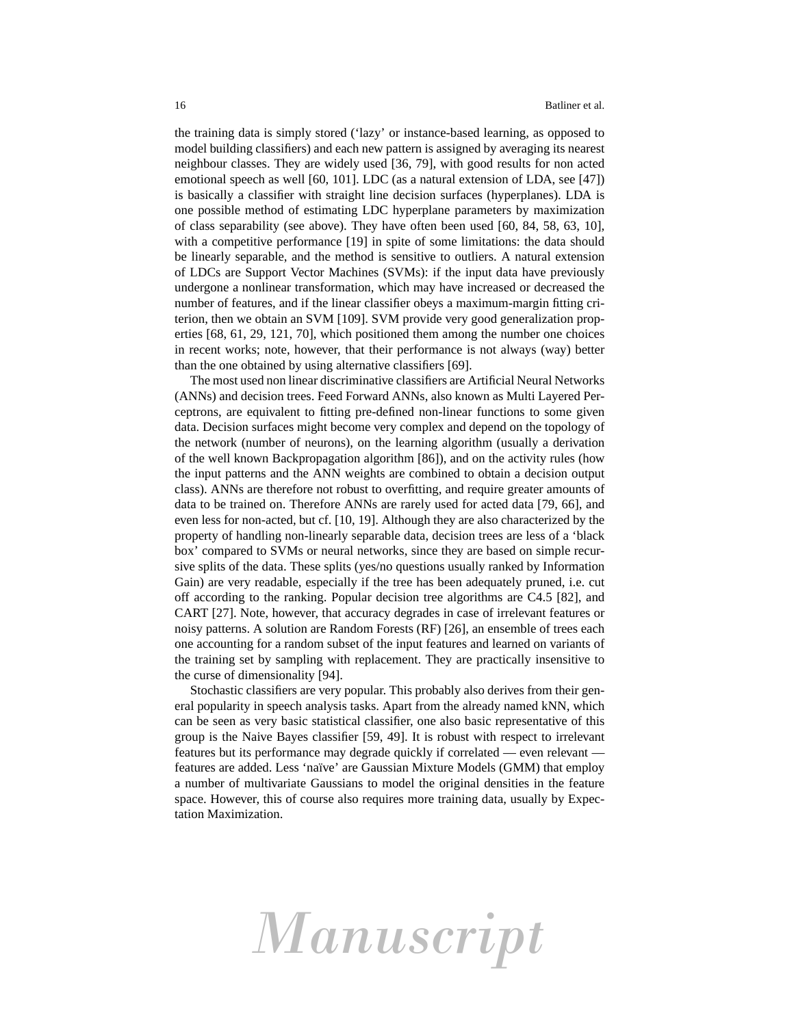the training data is simply stored ('lazy' or instance-based learning, as opposed to model building classifiers) and each new pattern is assigned by averaging its nearest neighbour classes. They are widely used [36, 79], with good results for non acted emotional speech as well [60, 101]. LDC (as a natural extension of LDA, see [47]) is basically a classifier with straight line decision surfaces (hyperplanes). LDA is one possible method of estimating LDC hyperplane parameters by maximization of class separability (see above). They have often been used [60, 84, 58, 63, 10], with a competitive performance [19] in spite of some limitations: the data should be linearly separable, and the method is sensitive to outliers. A natural extension of LDCs are Support Vector Machines (SVMs): if the input data have previously undergone a nonlinear transformation, which may have increased or decreased the number of features, and if the linear classifier obeys a maximum-margin fitting criterion, then we obtain an SVM [109]. SVM provide very good generalization properties [68, 61, 29, 121, 70], which positioned them among the number one choices in recent works; note, however, that their performance is not always (way) better than the one obtained by using alternative classifiers [69].

The most used non linear discriminative classifiers are Artificial Neural Networks (ANNs) and decision trees. Feed Forward ANNs, also known as Multi Layered Perceptrons, are equivalent to fitting pre-defined non-linear functions to some given data. Decision surfaces might become very complex and depend on the topology of the network (number of neurons), on the learning algorithm (usually a derivation of the well known Backpropagation algorithm [86]), and on the activity rules (how the input patterns and the ANN weights are combined to obtain a decision output class). ANNs are therefore not robust to overfitting, and require greater amounts of data to be trained on. Therefore ANNs are rarely used for acted data [79, 66], and even less for non-acted, but cf. [10, 19]. Although they are also characterized by the property of handling non-linearly separable data, decision trees are less of a 'black box' compared to SVMs or neural networks, since they are based on simple recursive splits of the data. These splits (yes/no questions usually ranked by Information Gain) are very readable, especially if the tree has been adequately pruned, i.e. cut off according to the ranking. Popular decision tree algorithms are C4.5 [82], and CART [27]. Note, however, that accuracy degrades in case of irrelevant features or noisy patterns. A solution are Random Forests (RF) [26], an ensemble of trees each one accounting for a random subset of the input features and learned on variants of the training set by sampling with replacement. They are practically insensitive to the curse of dimensionality [94].

Stochastic classifiers are very popular. This probably also derives from their general popularity in speech analysis tasks. Apart from the already named kNN, which can be seen as very basic statistical classifier, one also basic representative of this group is the Naive Bayes classifier [59, 49]. It is robust with respect to irrelevant features but its performance may degrade quickly if correlated — even relevant features are added. Less 'naïve' are Gaussian Mixture Models (GMM) that employ a number of multivariate Gaussians to model the original densities in the feature space. However, this of course also requires more training data, usually by Expectation Maximization.

*Manuscript*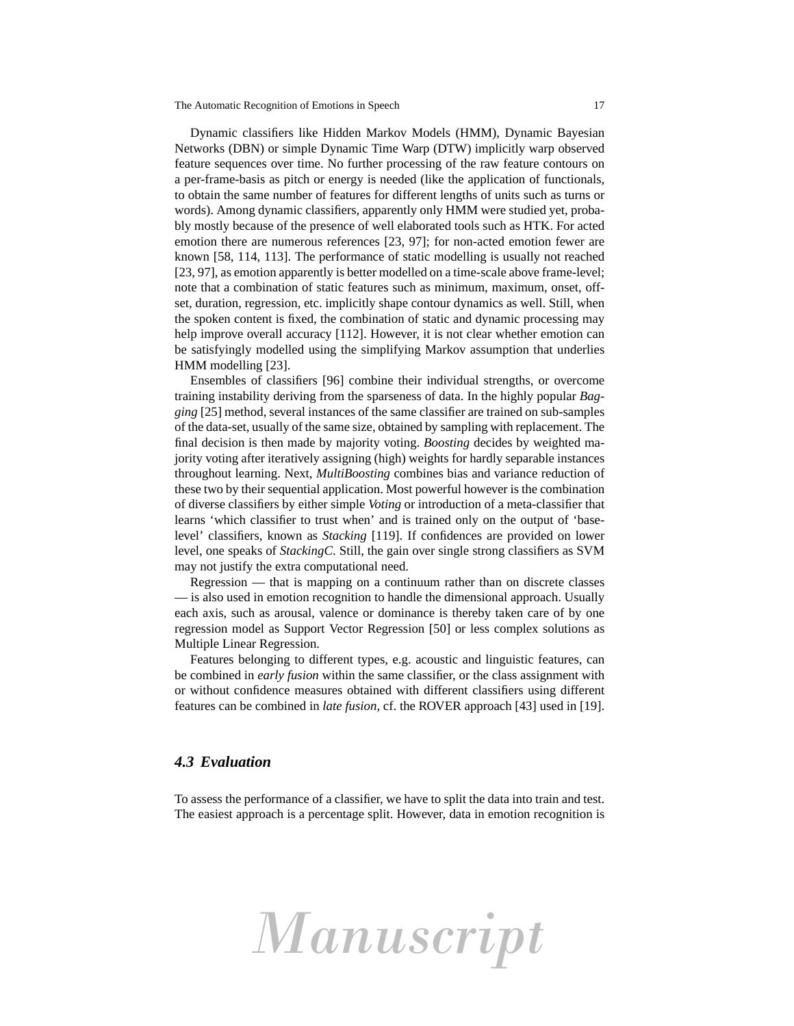Dynamic classifiers like Hidden Markov Models (HMM), Dynamic Bayesian Networks (DBN) or simple Dynamic Time Warp (DTW) implicitly warp observed feature sequences over time. No further processing of the raw feature contours on a per-frame-basis as pitch or energy is needed (like the application of functionals, to obtain the same number of features for different lengths of units such as turns or words). Among dynamic classifiers, apparently only HMM were studied yet, probably mostly because of the presence of well elaborated tools such as HTK. For acted emotion there are numerous references [23, 97]; for non-acted emotion fewer are known [58, 114, 113]. The performance of static modelling is usually not reached [23, 97], as emotion apparently is better modelled on a time-scale above frame-level; note that a combination of static features such as minimum, maximum, onset, offset, duration, regression, etc. implicitly shape contour dynamics as well. Still, when the spoken content is fixed, the combination of static and dynamic processing may help improve overall accuracy [112]. However, it is not clear whether emotion can be satisfyingly modelled using the simplifying Markov assumption that underlies HMM modelling [23].

Ensembles of classifiers [96] combine their individual strengths, or overcome training instability deriving from the sparseness of data. In the highly popular *Bagging* [25] method, several instances of the same classifier are trained on sub-samples of the data-set, usually of the same size, obtained by sampling with replacement. The final decision is then made by majority voting. *Boosting* decides by weighted majority voting after iteratively assigning (high) weights for hardly separable instances throughout learning. Next, *MultiBoosting* combines bias and variance reduction of these two by their sequential application. Most powerful however is the combination of diverse classifiers by either simple *Voting* or introduction of a meta-classifier that learns 'which classifier to trust when' and is trained only on the output of 'baselevel' classifiers, known as *Stacking* [119]. If confidences are provided on lower level, one speaks of *StackingC*. Still, the gain over single strong classifiers as SVM may not justify the extra computational need.

Regression — that is mapping on a continuum rather than on discrete classes — is also used in emotion recognition to handle the dimensional approach. Usually each axis, such as arousal, valence or dominance is thereby taken care of by one regression model as Support Vector Regression [50] or less complex solutions as Multiple Linear Regression.

Features belonging to different types, e.g. acoustic and linguistic features, can be combined in *early fusion* within the same classifier, or the class assignment with or without confidence measures obtained with different classifiers using different features can be combined in *late fusion*, cf. the ROVER approach [43] used in [19].

## *4.3 Evaluation*

To assess the performance of a classifier, we have to split the data into train and test. The easiest approach is a percentage split. However, data in emotion recognition is

*Manuscript*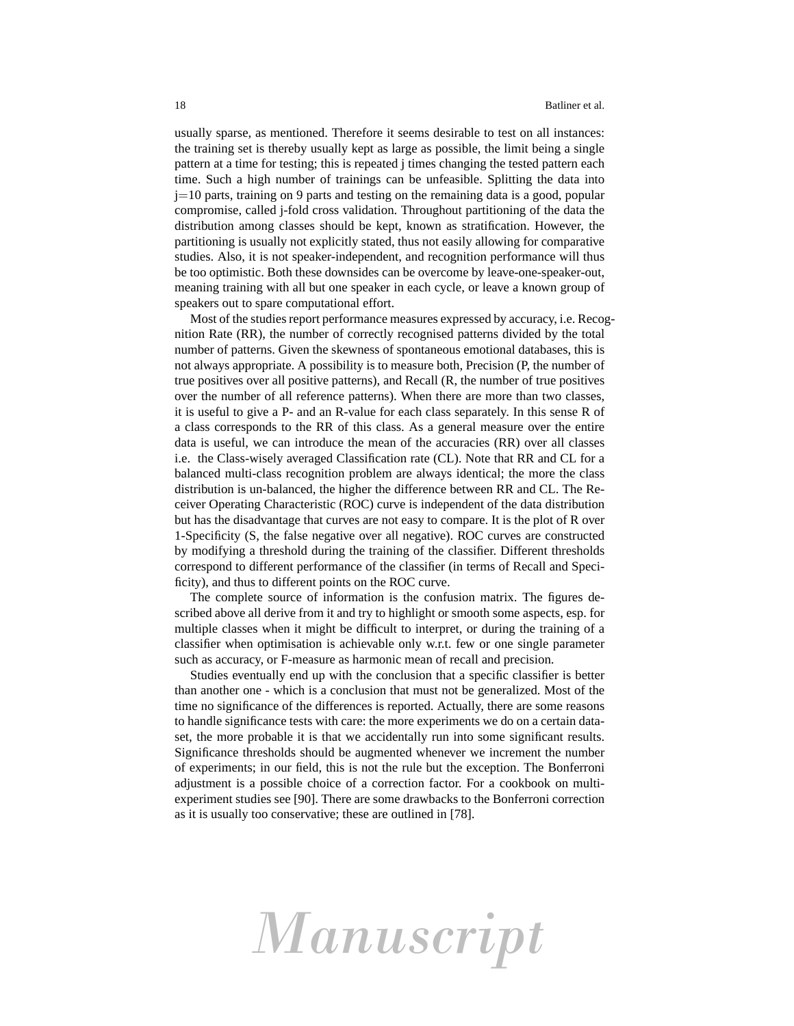usually sparse, as mentioned. Therefore it seems desirable to test on all instances: the training set is thereby usually kept as large as possible, the limit being a single pattern at a time for testing; this is repeated j times changing the tested pattern each time. Such a high number of trainings can be unfeasible. Splitting the data into  $j=10$  parts, training on 9 parts and testing on the remaining data is a good, popular compromise, called j-fold cross validation. Throughout partitioning of the data the distribution among classes should be kept, known as stratification. However, the partitioning is usually not explicitly stated, thus not easily allowing for comparative studies. Also, it is not speaker-independent, and recognition performance will thus be too optimistic. Both these downsides can be overcome by leave-one-speaker-out, meaning training with all but one speaker in each cycle, or leave a known group of speakers out to spare computational effort.

Most of the studies report performance measures expressed by accuracy, i.e. Recognition Rate (RR), the number of correctly recognised patterns divided by the total number of patterns. Given the skewness of spontaneous emotional databases, this is not always appropriate. A possibility is to measure both, Precision (P, the number of true positives over all positive patterns), and Recall (R, the number of true positives over the number of all reference patterns). When there are more than two classes, it is useful to give a P- and an R-value for each class separately. In this sense R of a class corresponds to the RR of this class. As a general measure over the entire data is useful, we can introduce the mean of the accuracies (RR) over all classes i.e. the Class-wisely averaged Classification rate (CL). Note that RR and CL for a balanced multi-class recognition problem are always identical; the more the class distribution is un-balanced, the higher the difference between RR and CL. The Receiver Operating Characteristic (ROC) curve is independent of the data distribution but has the disadvantage that curves are not easy to compare. It is the plot of R over 1-Specificity (S, the false negative over all negative). ROC curves are constructed by modifying a threshold during the training of the classifier. Different thresholds correspond to different performance of the classifier (in terms of Recall and Specificity), and thus to different points on the ROC curve.

The complete source of information is the confusion matrix. The figures described above all derive from it and try to highlight or smooth some aspects, esp. for multiple classes when it might be difficult to interpret, or during the training of a classifier when optimisation is achievable only w.r.t. few or one single parameter such as accuracy, or F-measure as harmonic mean of recall and precision.

Studies eventually end up with the conclusion that a specific classifier is better than another one - which is a conclusion that must not be generalized. Most of the time no significance of the differences is reported. Actually, there are some reasons to handle significance tests with care: the more experiments we do on a certain dataset, the more probable it is that we accidentally run into some significant results. Significance thresholds should be augmented whenever we increment the number of experiments; in our field, this is not the rule but the exception. The Bonferroni adjustment is a possible choice of a correction factor. For a cookbook on multiexperiment studies see [90]. There are some drawbacks to the Bonferroni correction as it is usually too conservative; these are outlined in [78].

*Manuscript*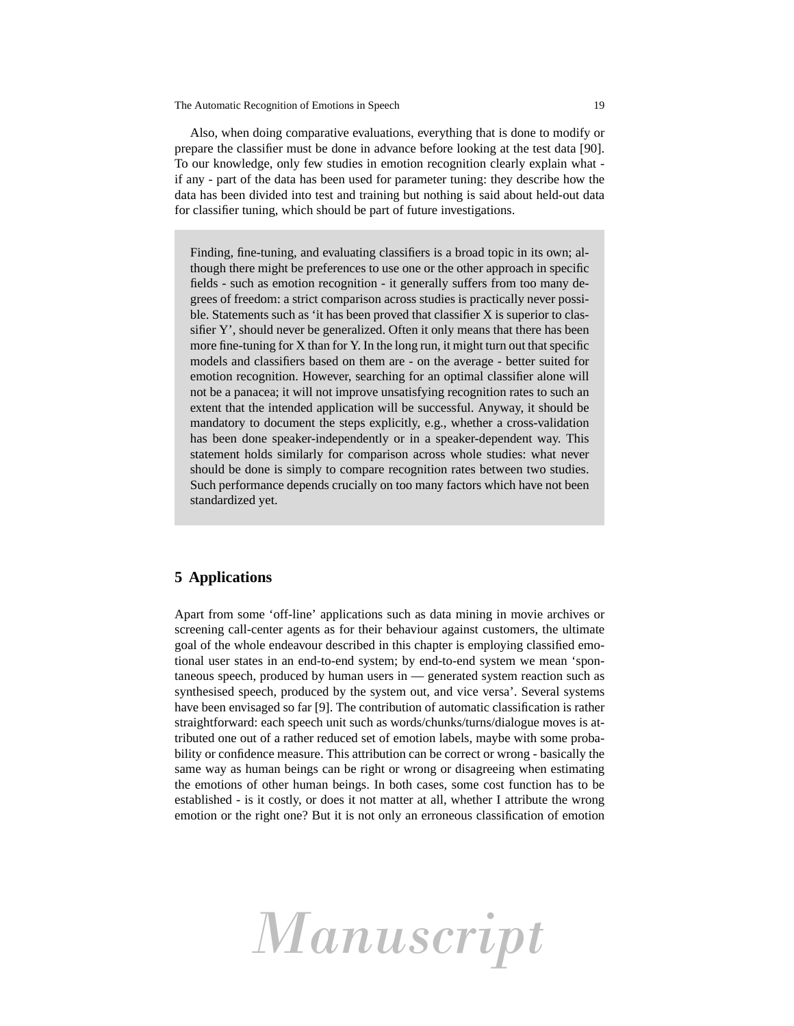Also, when doing comparative evaluations, everything that is done to modify or prepare the classifier must be done in advance before looking at the test data [90]. To our knowledge, only few studies in emotion recognition clearly explain what if any - part of the data has been used for parameter tuning: they describe how the data has been divided into test and training but nothing is said about held-out data for classifier tuning, which should be part of future investigations.

Finding, fine-tuning, and evaluating classifiers is a broad topic in its own; although there might be preferences to use one or the other approach in specific fields - such as emotion recognition - it generally suffers from too many degrees of freedom: a strict comparison across studies is practically never possible. Statements such as 'it has been proved that classifier X is superior to classifier Y', should never be generalized. Often it only means that there has been more fine-tuning for X than for Y. In the long run, it might turn out that specific models and classifiers based on them are - on the average - better suited for emotion recognition. However, searching for an optimal classifier alone will not be a panacea; it will not improve unsatisfying recognition rates to such an extent that the intended application will be successful. Anyway, it should be mandatory to document the steps explicitly, e.g., whether a cross-validation has been done speaker-independently or in a speaker-dependent way. This statement holds similarly for comparison across whole studies: what never should be done is simply to compare recognition rates between two studies. Such performance depends crucially on too many factors which have not been standardized yet.

## **5 Applications**

Apart from some 'off-line' applications such as data mining in movie archives or screening call-center agents as for their behaviour against customers, the ultimate goal of the whole endeavour described in this chapter is employing classified emotional user states in an end-to-end system; by end-to-end system we mean 'spontaneous speech, produced by human users in — generated system reaction such as synthesised speech, produced by the system out, and vice versa'. Several systems have been envisaged so far [9]. The contribution of automatic classification is rather straightforward: each speech unit such as words/chunks/turns/dialogue moves is attributed one out of a rather reduced set of emotion labels, maybe with some probability or confidence measure. This attribution can be correct or wrong - basically the same way as human beings can be right or wrong or disagreeing when estimating the emotions of other human beings. In both cases, some cost function has to be established - is it costly, or does it not matter at all, whether I attribute the wrong emotion or the right one? But it is not only an erroneous classification of emotion

*Manuscript*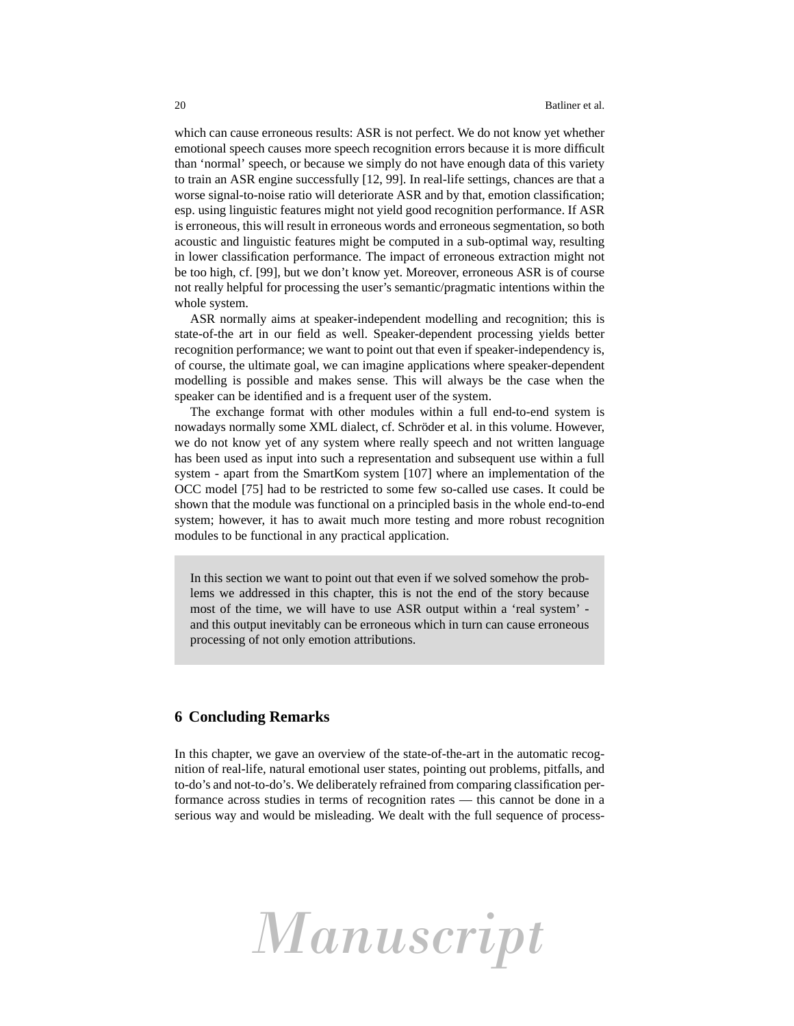which can cause erroneous results: ASR is not perfect. We do not know yet whether emotional speech causes more speech recognition errors because it is more difficult than 'normal' speech, or because we simply do not have enough data of this variety to train an ASR engine successfully [12, 99]. In real-life settings, chances are that a worse signal-to-noise ratio will deteriorate ASR and by that, emotion classification; esp. using linguistic features might not yield good recognition performance. If ASR is erroneous, this will result in erroneous words and erroneous segmentation, so both acoustic and linguistic features might be computed in a sub-optimal way, resulting in lower classification performance. The impact of erroneous extraction might not be too high, cf. [99], but we don't know yet. Moreover, erroneous ASR is of course not really helpful for processing the user's semantic/pragmatic intentions within the whole system.

ASR normally aims at speaker-independent modelling and recognition; this is state-of-the art in our field as well. Speaker-dependent processing yields better recognition performance; we want to point out that even if speaker-independency is, of course, the ultimate goal, we can imagine applications where speaker-dependent modelling is possible and makes sense. This will always be the case when the speaker can be identified and is a frequent user of the system.

The exchange format with other modules within a full end-to-end system is nowadays normally some XML dialect, cf. Schröder et al. in this volume. However, we do not know yet of any system where really speech and not written language has been used as input into such a representation and subsequent use within a full system - apart from the SmartKom system [107] where an implementation of the OCC model [75] had to be restricted to some few so-called use cases. It could be shown that the module was functional on a principled basis in the whole end-to-end system; however, it has to await much more testing and more robust recognition modules to be functional in any practical application.

In this section we want to point out that even if we solved somehow the problems we addressed in this chapter, this is not the end of the story because most of the time, we will have to use ASR output within a 'real system' and this output inevitably can be erroneous which in turn can cause erroneous processing of not only emotion attributions.

#### **6 Concluding Remarks**

In this chapter, we gave an overview of the state-of-the-art in the automatic recognition of real-life, natural emotional user states, pointing out problems, pitfalls, and to-do's and not-to-do's. We deliberately refrained from comparing classification performance across studies in terms of recognition rates — this cannot be done in a serious way and would be misleading. We dealt with the full sequence of process-

*Manuscript*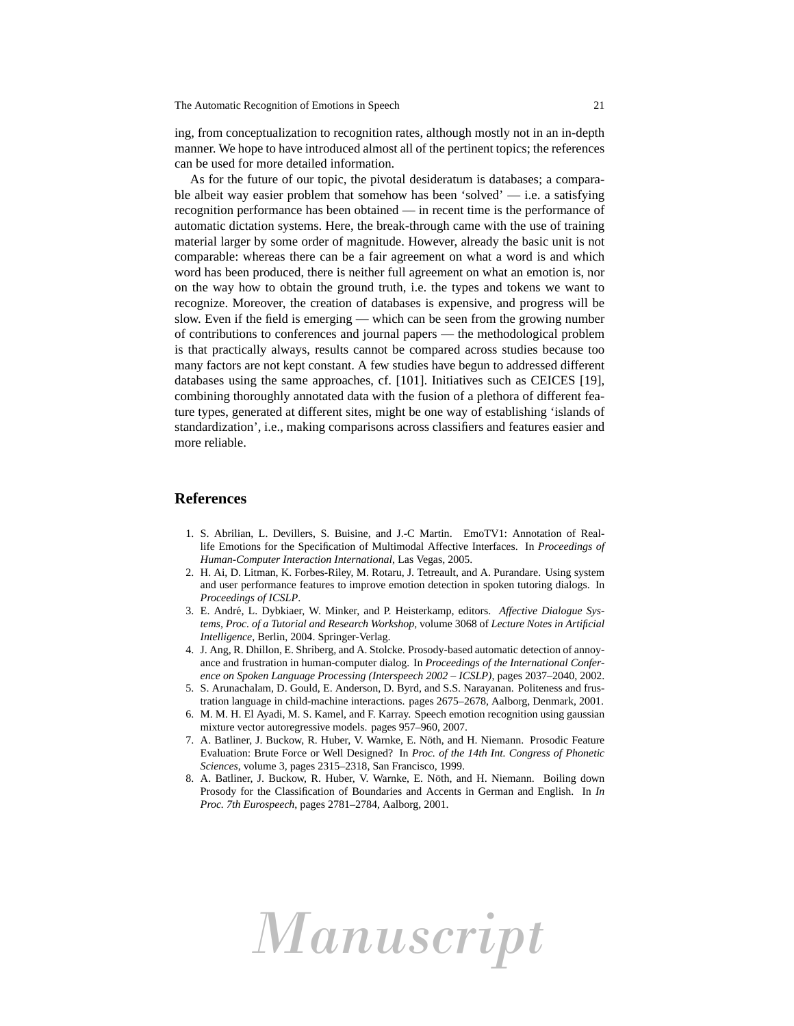ing, from conceptualization to recognition rates, although mostly not in an in-depth manner. We hope to have introduced almost all of the pertinent topics; the references can be used for more detailed information.

As for the future of our topic, the pivotal desideratum is databases; a comparable albeit way easier problem that somehow has been 'solved'  $-$  i.e. a satisfying recognition performance has been obtained — in recent time is the performance of automatic dictation systems. Here, the break-through came with the use of training material larger by some order of magnitude. However, already the basic unit is not comparable: whereas there can be a fair agreement on what a word is and which word has been produced, there is neither full agreement on what an emotion is, nor on the way how to obtain the ground truth, i.e. the types and tokens we want to recognize. Moreover, the creation of databases is expensive, and progress will be slow. Even if the field is emerging — which can be seen from the growing number of contributions to conferences and journal papers — the methodological problem is that practically always, results cannot be compared across studies because too many factors are not kept constant. A few studies have begun to addressed different databases using the same approaches, cf. [101]. Initiatives such as CEICES [19], combining thoroughly annotated data with the fusion of a plethora of different feature types, generated at different sites, might be one way of establishing 'islands of standardization', i.e., making comparisons across classifiers and features easier and more reliable.

## **References**

- 1. S. Abrilian, L. Devillers, S. Buisine, and J.-C Martin. EmoTV1: Annotation of Reallife Emotions for the Specification of Multimodal Affective Interfaces. In *Proceedings of Human-Computer Interaction International*, Las Vegas, 2005.
- 2. H. Ai, D. Litman, K. Forbes-Riley, M. Rotaru, J. Tetreault, and A. Purandare. Using system and user performance features to improve emotion detection in spoken tutoring dialogs. In *Proceedings of ICSLP*.
- 3. E. Andre, L. Dybkiaer, W. Minker, and P. Heisterkamp, editors. ´ *Affective Dialogue Systems, Proc. of a Tutorial and Research Workshop*, volume 3068 of *Lecture Notes in Artificial Intelligence*, Berlin, 2004. Springer-Verlag.
- 4. J. Ang, R. Dhillon, E. Shriberg, and A. Stolcke. Prosody-based automatic detection of annoyance and frustration in human-computer dialog. In *Proceedings of the International Conference on Spoken Language Processing (Interspeech 2002 – ICSLP)*, pages 2037–2040, 2002.
- 5. S. Arunachalam, D. Gould, E. Anderson, D. Byrd, and S.S. Narayanan. Politeness and frustration language in child-machine interactions. pages 2675–2678, Aalborg, Denmark, 2001.
- 6. M. M. H. El Ayadi, M. S. Kamel, and F. Karray. Speech emotion recognition using gaussian mixture vector autoregressive models. pages 957–960, 2007.
- 7. A. Batliner, J. Buckow, R. Huber, V. Warnke, E. Nöth, and H. Niemann. Prosodic Feature Evaluation: Brute Force or Well Designed? In *Proc. of the 14th Int. Congress of Phonetic Sciences*, volume 3, pages 2315–2318, San Francisco, 1999.
- 8. A. Batliner, J. Buckow, R. Huber, V. Warnke, E. Nöth, and H. Niemann. Boiling down Prosody for the Classification of Boundaries and Accents in German and English. In *In Proc. 7th Eurospeech*, pages 2781–2784, Aalborg, 2001.

## *Manuscript*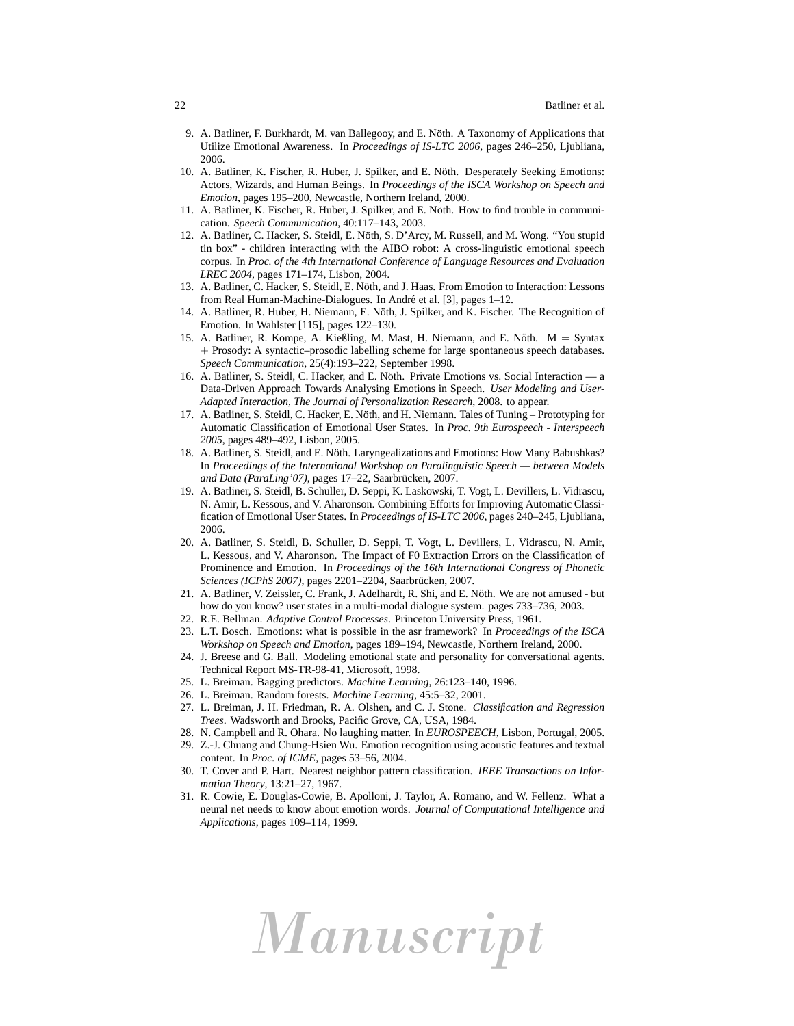- 9. A. Batliner, F. Burkhardt, M. van Ballegooy, and E. Nöth. A Taxonomy of Applications that Utilize Emotional Awareness. In *Proceedings of IS-LTC 2006*, pages 246–250, Ljubliana, 2006.
- 10. A. Batliner, K. Fischer, R. Huber, J. Spilker, and E. Nöth. Desperately Seeking Emotions: Actors, Wizards, and Human Beings. In *Proceedings of the ISCA Workshop on Speech and Emotion*, pages 195–200, Newcastle, Northern Ireland, 2000.
- 11. A. Batliner, K. Fischer, R. Huber, J. Spilker, and E. Nöth. How to find trouble in communication. *Speech Communication*, 40:117–143, 2003.
- 12. A. Batliner, C. Hacker, S. Steidl, E. Nöth, S. D'Arcy, M. Russell, and M. Wong. "You stupid tin box" - children interacting with the AIBO robot: A cross-linguistic emotional speech corpus. In *Proc. of the 4th International Conference of Language Resources and Evaluation LREC 2004*, pages 171–174, Lisbon, 2004.
- 13. A. Batliner, C. Hacker, S. Steidl, E. Noth, and J. Haas. From Emotion to Interaction: Lessons ¨ from Real Human-Machine-Dialogues. In André et al. [3], pages 1-12.
- 14. A. Batliner, R. Huber, H. Niemann, E. Nöth, J. Spilker, and K. Fischer. The Recognition of Emotion. In Wahlster [115], pages 122–130.
- 15. A. Batliner, R. Kompe, A. Kießling, M. Mast, H. Niemann, and E. Nöth.  $M =$  Syntax + Prosody: A syntactic–prosodic labelling scheme for large spontaneous speech databases. *Speech Communication*, 25(4):193–222, September 1998.
- 16. A. Batliner, S. Steidl, C. Hacker, and E. Nöth. Private Emotions vs. Social Interaction a Data-Driven Approach Towards Analysing Emotions in Speech. *User Modeling and User-Adapted Interaction, The Journal of Personalization Research*, 2008. to appear.
- 17. A. Batliner, S. Steidl, C. Hacker, E. Nöth, and H. Niemann. Tales of Tuning Prototyping for Automatic Classification of Emotional User States. In *Proc. 9th Eurospeech - Interspeech 2005*, pages 489–492, Lisbon, 2005.
- 18. A. Batliner, S. Steidl, and E. Nöth. Laryngealizations and Emotions: How Many Babushkas? In *Proceedings of the International Workshop on Paralinguistic Speech — between Models* and Data (ParaLing'07), pages 17-22, Saarbrücken, 2007.
- 19. A. Batliner, S. Steidl, B. Schuller, D. Seppi, K. Laskowski, T. Vogt, L. Devillers, L. Vidrascu, N. Amir, L. Kessous, and V. Aharonson. Combining Efforts for Improving Automatic Classification of Emotional User States. In *Proceedings of IS-LTC 2006*, pages 240–245, Ljubliana, 2006.
- 20. A. Batliner, S. Steidl, B. Schuller, D. Seppi, T. Vogt, L. Devillers, L. Vidrascu, N. Amir, L. Kessous, and V. Aharonson. The Impact of F0 Extraction Errors on the Classification of Prominence and Emotion. In *Proceedings of the 16th International Congress of Phonetic Sciences (ICPhS 2007)*, pages 2201–2204, Saarbrücken, 2007.
- 21. A. Batliner, V. Zeissler, C. Frank, J. Adelhardt, R. Shi, and E. Noth. We are not amused but ¨ how do you know? user states in a multi-modal dialogue system. pages 733–736, 2003.
- 22. R.E. Bellman. *Adaptive Control Processes*. Princeton University Press, 1961.
- 23. L.T. Bosch. Emotions: what is possible in the asr framework? In *Proceedings of the ISCA Workshop on Speech and Emotion*, pages 189–194, Newcastle, Northern Ireland, 2000.
- 24. J. Breese and G. Ball. Modeling emotional state and personality for conversational agents. Technical Report MS-TR-98-41, Microsoft, 1998.
- 25. L. Breiman. Bagging predictors. *Machine Learning*, 26:123–140, 1996.
- 26. L. Breiman. Random forests. *Machine Learning*, 45:5–32, 2001.
- 27. L. Breiman, J. H. Friedman, R. A. Olshen, and C. J. Stone. *Classification and Regression Trees*. Wadsworth and Brooks, Pacific Grove, CA, USA, 1984.
- 28. N. Campbell and R. Ohara. No laughing matter. In *EUROSPEECH*, Lisbon, Portugal, 2005.
- 29. Z.-J. Chuang and Chung-Hsien Wu. Emotion recognition using acoustic features and textual content. In *Proc. of ICME*, pages 53–56, 2004.
- 30. T. Cover and P. Hart. Nearest neighbor pattern classification. *IEEE Transactions on Information Theory*, 13:21–27, 1967.
- 31. R. Cowie, E. Douglas-Cowie, B. Apolloni, J. Taylor, A. Romano, and W. Fellenz. What a neural net needs to know about emotion words. *Journal of Computational Intelligence and Applications*, pages 109–114, 1999.

*Manuscript*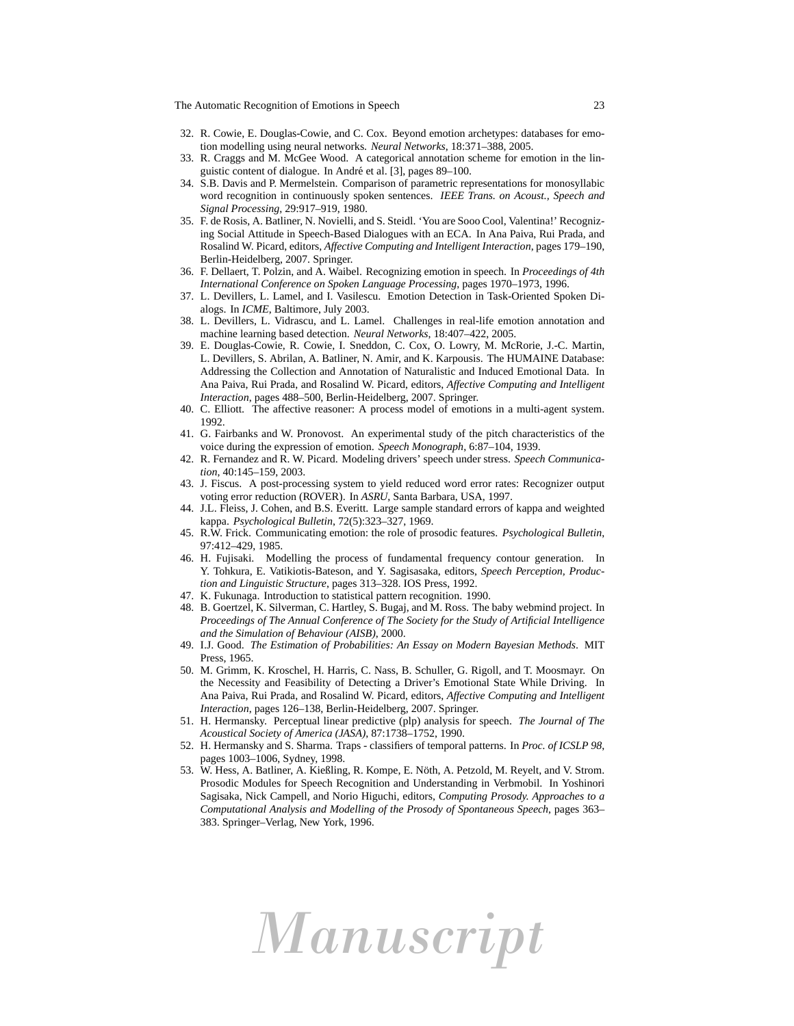#### The Automatic Recognition of Emotions in Speech 23

- 32. R. Cowie, E. Douglas-Cowie, and C. Cox. Beyond emotion archetypes: databases for emotion modelling using neural networks. *Neural Networks*, 18:371–388, 2005.
- 33. R. Craggs and M. McGee Wood. A categorical annotation scheme for emotion in the linguistic content of dialogue. In André et al. [3], pages 89-100.
- 34. S.B. Davis and P. Mermelstein. Comparison of parametric representations for monosyllabic word recognition in continuously spoken sentences. *IEEE Trans. on Acoust., Speech and Signal Processing*, 29:917–919, 1980.
- 35. F. de Rosis, A. Batliner, N. Novielli, and S. Steidl. 'You are Sooo Cool, Valentina!' Recognizing Social Attitude in Speech-Based Dialogues with an ECA. In Ana Paiva, Rui Prada, and Rosalind W. Picard, editors, *Affective Computing and Intelligent Interaction*, pages 179–190, Berlin-Heidelberg, 2007. Springer.
- 36. F. Dellaert, T. Polzin, and A. Waibel. Recognizing emotion in speech. In *Proceedings of 4th International Conference on Spoken Language Processing*, pages 1970–1973, 1996.
- 37. L. Devillers, L. Lamel, and I. Vasilescu. Emotion Detection in Task-Oriented Spoken Dialogs. In *ICME*, Baltimore, July 2003.
- 38. L. Devillers, L. Vidrascu, and L. Lamel. Challenges in real-life emotion annotation and machine learning based detection. *Neural Networks*, 18:407–422, 2005.
- 39. E. Douglas-Cowie, R. Cowie, I. Sneddon, C. Cox, O. Lowry, M. McRorie, J.-C. Martin, L. Devillers, S. Abrilan, A. Batliner, N. Amir, and K. Karpousis. The HUMAINE Database: Addressing the Collection and Annotation of Naturalistic and Induced Emotional Data. In Ana Paiva, Rui Prada, and Rosalind W. Picard, editors, *Affective Computing and Intelligent Interaction*, pages 488–500, Berlin-Heidelberg, 2007. Springer.
- 40. C. Elliott. The affective reasoner: A process model of emotions in a multi-agent system. 1992.
- 41. G. Fairbanks and W. Pronovost. An experimental study of the pitch characteristics of the voice during the expression of emotion. *Speech Monograph*, 6:87–104, 1939.
- 42. R. Fernandez and R. W. Picard. Modeling drivers' speech under stress. *Speech Communication*, 40:145–159, 2003.
- 43. J. Fiscus. A post-processing system to yield reduced word error rates: Recognizer output voting error reduction (ROVER). In *ASRU*, Santa Barbara, USA, 1997.
- 44. J.L. Fleiss, J. Cohen, and B.S. Everitt. Large sample standard errors of kappa and weighted kappa. *Psychological Bulletin*, 72(5):323–327, 1969.
- 45. R.W. Frick. Communicating emotion: the role of prosodic features. *Psychological Bulletin*, 97:412–429, 1985.
- 46. H. Fujisaki. Modelling the process of fundamental frequency contour generation. In Y. Tohkura, E. Vatikiotis-Bateson, and Y. Sagisasaka, editors, *Speech Perception, Production and Linguistic Structure*, pages 313–328. IOS Press, 1992.
- 47. K. Fukunaga. Introduction to statistical pattern recognition. 1990.
- 48. B. Goertzel, K. Silverman, C. Hartley, S. Bugaj, and M. Ross. The baby webmind project. In *Proceedings of The Annual Conference of The Society for the Study of Artificial Intelligence and the Simulation of Behaviour (AISB)*, 2000.
- 49. I.J. Good. *The Estimation of Probabilities: An Essay on Modern Bayesian Methods*. MIT Press, 1965.
- 50. M. Grimm, K. Kroschel, H. Harris, C. Nass, B. Schuller, G. Rigoll, and T. Moosmayr. On the Necessity and Feasibility of Detecting a Driver's Emotional State While Driving. In Ana Paiva, Rui Prada, and Rosalind W. Picard, editors, *Affective Computing and Intelligent Interaction*, pages 126–138, Berlin-Heidelberg, 2007. Springer.
- 51. H. Hermansky. Perceptual linear predictive (plp) analysis for speech. *The Journal of The Acoustical Society of America (JASA)*, 87:1738–1752, 1990.
- 52. H. Hermansky and S. Sharma. Traps classifiers of temporal patterns. In *Proc. of ICSLP 98*, pages 1003–1006, Sydney, 1998.
- 53. W. Hess, A. Batliner, A. Kießling, R. Kompe, E. Nöth, A. Petzold, M. Reyelt, and V. Strom. Prosodic Modules for Speech Recognition and Understanding in Verbmobil. In Yoshinori Sagisaka, Nick Campell, and Norio Higuchi, editors, *Computing Prosody. Approaches to a Computational Analysis and Modelling of the Prosody of Spontaneous Speech*, pages 363– 383. Springer–Verlag, New York, 1996.

*Manuscript*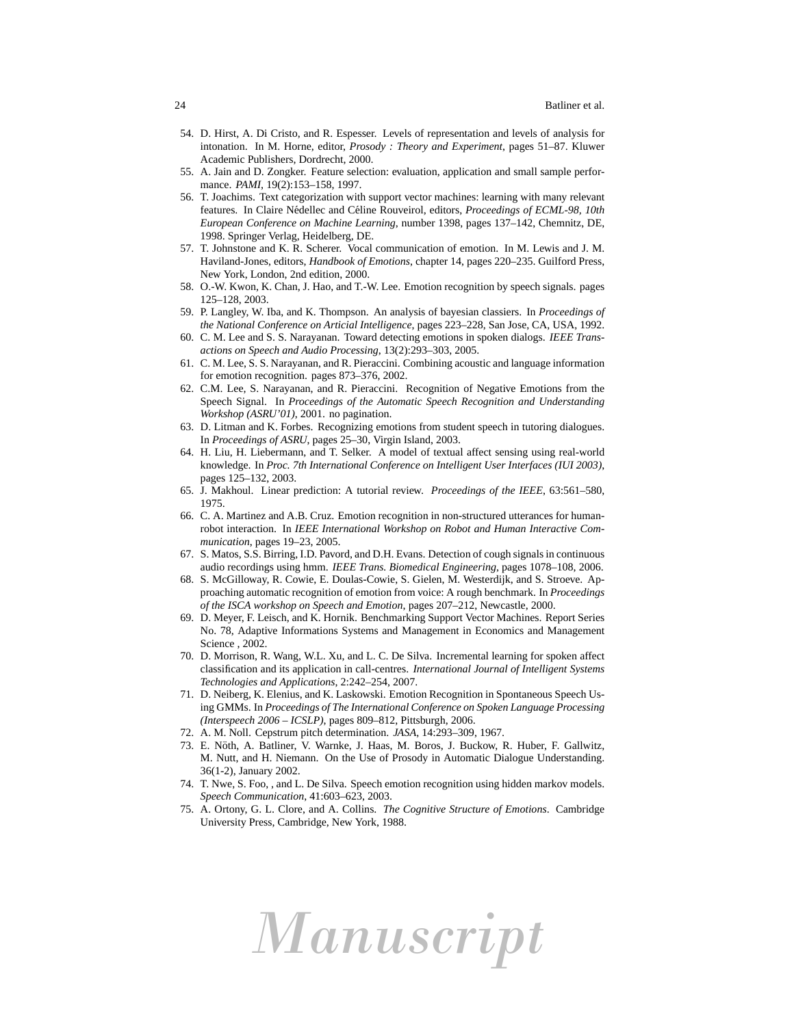- 54. D. Hirst, A. Di Cristo, and R. Espesser. Levels of representation and levels of analysis for intonation. In M. Horne, editor, *Prosody : Theory and Experiment*, pages 51–87. Kluwer Academic Publishers, Dordrecht, 2000.
- 55. A. Jain and D. Zongker. Feature selection: evaluation, application and small sample performance. *PAMI*, 19(2):153–158, 1997.
- 56. T. Joachims. Text categorization with support vector machines: learning with many relevant features. In Claire Nédellec and Céline Rouveirol, editors, Proceedings of ECML-98, 10th *European Conference on Machine Learning*, number 1398, pages 137–142, Chemnitz, DE, 1998. Springer Verlag, Heidelberg, DE.
- 57. T. Johnstone and K. R. Scherer. Vocal communication of emotion. In M. Lewis and J. M. Haviland-Jones, editors, *Handbook of Emotions*, chapter 14, pages 220–235. Guilford Press, New York, London, 2nd edition, 2000.
- 58. O.-W. Kwon, K. Chan, J. Hao, and T.-W. Lee. Emotion recognition by speech signals. pages 125–128, 2003.
- 59. P. Langley, W. Iba, and K. Thompson. An analysis of bayesian classiers. In *Proceedings of the National Conference on Articial Intelligence*, pages 223–228, San Jose, CA, USA, 1992.
- 60. C. M. Lee and S. S. Narayanan. Toward detecting emotions in spoken dialogs. *IEEE Transactions on Speech and Audio Processing*, 13(2):293–303, 2005.
- 61. C. M. Lee, S. S. Narayanan, and R. Pieraccini. Combining acoustic and language information for emotion recognition. pages 873–376, 2002.
- 62. C.M. Lee, S. Narayanan, and R. Pieraccini. Recognition of Negative Emotions from the Speech Signal. In *Proceedings of the Automatic Speech Recognition and Understanding Workshop (ASRU'01)*, 2001. no pagination.
- 63. D. Litman and K. Forbes. Recognizing emotions from student speech in tutoring dialogues. In *Proceedings of ASRU*, pages 25–30, Virgin Island, 2003.
- 64. H. Liu, H. Liebermann, and T. Selker. A model of textual affect sensing using real-world knowledge. In *Proc. 7th International Conference on Intelligent User Interfaces (IUI 2003)*, pages 125–132, 2003.
- 65. J. Makhoul. Linear prediction: A tutorial review. *Proceedings of the IEEE*, 63:561–580, 1975.
- 66. C. A. Martinez and A.B. Cruz. Emotion recognition in non-structured utterances for humanrobot interaction. In *IEEE International Workshop on Robot and Human Interactive Communication*, pages 19–23, 2005.
- 67. S. Matos, S.S. Birring, I.D. Pavord, and D.H. Evans. Detection of cough signals in continuous audio recordings using hmm. *IEEE Trans. Biomedical Engineering*, pages 1078–108, 2006.
- 68. S. McGilloway, R. Cowie, E. Doulas-Cowie, S. Gielen, M. Westerdijk, and S. Stroeve. Approaching automatic recognition of emotion from voice: A rough benchmark. In *Proceedings of the ISCA workshop on Speech and Emotion*, pages 207–212, Newcastle, 2000.
- 69. D. Meyer, F. Leisch, and K. Hornik. Benchmarking Support Vector Machines. Report Series No. 78, Adaptive Informations Systems and Management in Economics and Management Science , 2002.
- 70. D. Morrison, R. Wang, W.L. Xu, and L. C. De Silva. Incremental learning for spoken affect classification and its application in call-centres. *International Journal of Intelligent Systems Technologies and Applications*, 2:242–254, 2007.
- 71. D. Neiberg, K. Elenius, and K. Laskowski. Emotion Recognition in Spontaneous Speech Using GMMs. In *Proceedings of The International Conference on Spoken Language Processing (Interspeech 2006 – ICSLP)*, pages 809–812, Pittsburgh, 2006.
- 72. A. M. Noll. Cepstrum pitch determination. *JASA*, 14:293–309, 1967.
- 73. E. Noth, A. Batliner, V. Warnke, J. Haas, M. Boros, J. Buckow, R. Huber, F. Gallwitz, ¨ M. Nutt, and H. Niemann. On the Use of Prosody in Automatic Dialogue Understanding. 36(1-2), January 2002.
- 74. T. Nwe, S. Foo, , and L. De Silva. Speech emotion recognition using hidden markov models. *Speech Communication*, 41:603–623, 2003.
- 75. A. Ortony, G. L. Clore, and A. Collins. *The Cognitive Structure of Emotions*. Cambridge University Press, Cambridge, New York, 1988.

# *Manuscript*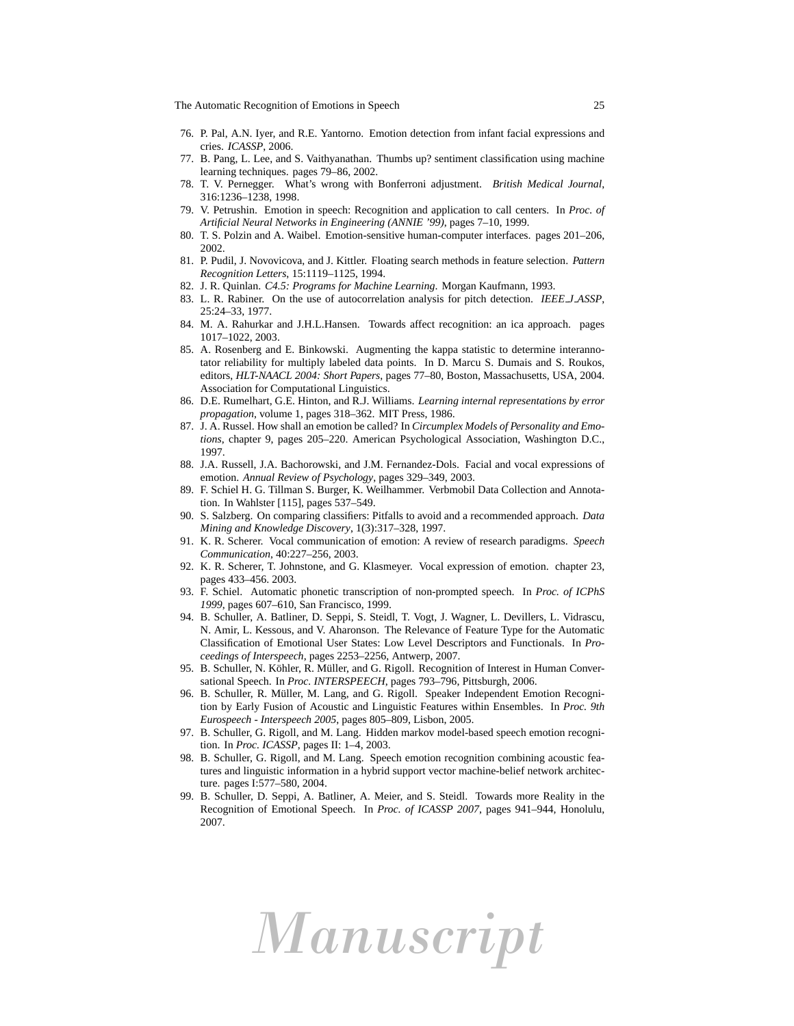- 76. P. Pal, A.N. Iyer, and R.E. Yantorno. Emotion detection from infant facial expressions and cries. *ICASSP*, 2006.
- 77. B. Pang, L. Lee, and S. Vaithyanathan. Thumbs up? sentiment classification using machine learning techniques. pages 79–86, 2002.
- 78. T. V. Pernegger. What's wrong with Bonferroni adjustment. *British Medical Journal*, 316:1236–1238, 1998.
- 79. V. Petrushin. Emotion in speech: Recognition and application to call centers. In *Proc. of Artificial Neural Networks in Engineering (ANNIE '99)*, pages 7–10, 1999.
- 80. T. S. Polzin and A. Waibel. Emotion-sensitive human-computer interfaces. pages 201–206, 2002.
- 81. P. Pudil, J. Novovicova, and J. Kittler. Floating search methods in feature selection. *Pattern Recognition Letters*, 15:1119–1125, 1994.
- 82. J. R. Quinlan. *C4.5: Programs for Machine Learning*. Morgan Kaufmann, 1993.
- 83. L. R. Rabiner. On the use of autocorrelation analysis for pitch detection. *IEEE J ASSP*, 25:24–33, 1977.
- 84. M. A. Rahurkar and J.H.L.Hansen. Towards affect recognition: an ica approach. pages 1017–1022, 2003.
- 85. A. Rosenberg and E. Binkowski. Augmenting the kappa statistic to determine interannotator reliability for multiply labeled data points. In D. Marcu S. Dumais and S. Roukos, editors, *HLT-NAACL 2004: Short Papers*, pages 77–80, Boston, Massachusetts, USA, 2004. Association for Computational Linguistics.
- 86. D.E. Rumelhart, G.E. Hinton, and R.J. Williams. *Learning internal representations by error propagation*, volume 1, pages 318–362. MIT Press, 1986.
- 87. J. A. Russel. How shall an emotion be called? In *Circumplex Models of Personality and Emotions*, chapter 9, pages 205–220. American Psychological Association, Washington D.C., 1997.
- 88. J.A. Russell, J.A. Bachorowski, and J.M. Fernandez-Dols. Facial and vocal expressions of emotion. *Annual Review of Psychology*, pages 329–349, 2003.
- 89. F. Schiel H. G. Tillman S. Burger, K. Weilhammer. Verbmobil Data Collection and Annotation. In Wahlster [115], pages 537–549.
- 90. S. Salzberg. On comparing classifiers: Pitfalls to avoid and a recommended approach. *Data Mining and Knowledge Discovery*, 1(3):317–328, 1997.
- 91. K. R. Scherer. Vocal communication of emotion: A review of research paradigms. *Speech Communication*, 40:227–256, 2003.
- 92. K. R. Scherer, T. Johnstone, and G. Klasmeyer. Vocal expression of emotion. chapter 23, pages 433–456. 2003.
- 93. F. Schiel. Automatic phonetic transcription of non-prompted speech. In *Proc. of ICPhS 1999*, pages 607–610, San Francisco, 1999.
- 94. B. Schuller, A. Batliner, D. Seppi, S. Steidl, T. Vogt, J. Wagner, L. Devillers, L. Vidrascu, N. Amir, L. Kessous, and V. Aharonson. The Relevance of Feature Type for the Automatic Classification of Emotional User States: Low Level Descriptors and Functionals. In *Proceedings of Interspeech*, pages 2253–2256, Antwerp, 2007.
- 95. B. Schuller, N. Köhler, R. Müller, and G. Rigoll. Recognition of Interest in Human Conversational Speech. In *Proc. INTERSPEECH*, pages 793–796, Pittsburgh, 2006.
- 96. B. Schuller, R. Müller, M. Lang, and G. Rigoll. Speaker Independent Emotion Recognition by Early Fusion of Acoustic and Linguistic Features within Ensembles. In *Proc. 9th Eurospeech - Interspeech 2005*, pages 805–809, Lisbon, 2005.
- 97. B. Schuller, G. Rigoll, and M. Lang. Hidden markov model-based speech emotion recognition. In *Proc. ICASSP*, pages II: 1–4, 2003.
- 98. B. Schuller, G. Rigoll, and M. Lang. Speech emotion recognition combining acoustic features and linguistic information in a hybrid support vector machine-belief network architecture. pages I:577–580, 2004.
- 99. B. Schuller, D. Seppi, A. Batliner, A. Meier, and S. Steidl. Towards more Reality in the Recognition of Emotional Speech. In *Proc. of ICASSP 2007*, pages 941–944, Honolulu, 2007.

*Manuscript*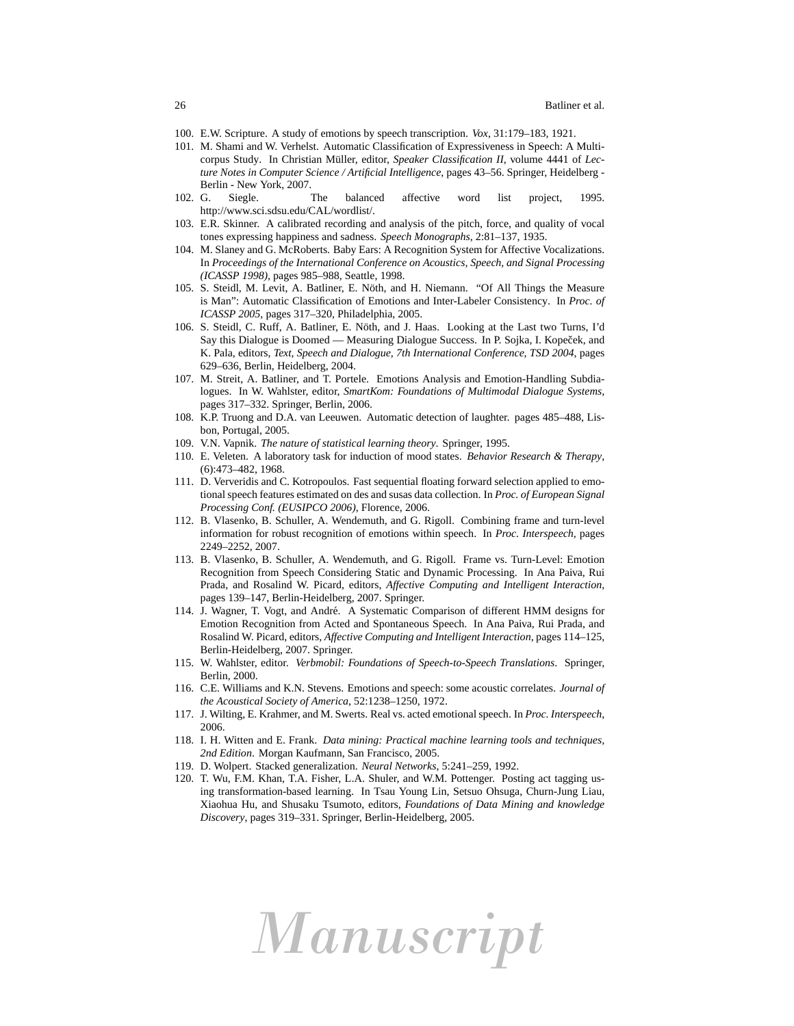- 100. E.W. Scripture. A study of emotions by speech transcription. *Vox*, 31:179–183, 1921.
- 101. M. Shami and W. Verhelst. Automatic Classification of Expressiveness in Speech: A Multicorpus Study. In Christian Müller, editor, Speaker Classification II, volume 4441 of Lec*ture Notes in Computer Science / Artificial Intelligence*, pages 43–56. Springer, Heidelberg - Berlin - New York, 2007.
- 102. G. Siegle. The balanced affective word list project, 1995. http://www.sci.sdsu.edu/CAL/wordlist/.
- 103. E.R. Skinner. A calibrated recording and analysis of the pitch, force, and quality of vocal tones expressing happiness and sadness. *Speech Monographs*, 2:81–137, 1935.
- 104. M. Slaney and G. McRoberts. Baby Ears: A Recognition System for Affective Vocalizations. In *Proceedings of the International Conference on Acoustics, Speech, and Signal Processing (ICASSP 1998)*, pages 985–988, Seattle, 1998.
- 105. S. Steidl, M. Levit, A. Batliner, E. Nöth, and H. Niemann. "Of All Things the Measure is Man": Automatic Classification of Emotions and Inter-Labeler Consistency. In *Proc. of ICASSP 2005*, pages 317–320, Philadelphia, 2005.
- 106. S. Steidl, C. Ruff, A. Batliner, E. Noth, and J. Haas. Looking at the Last two Turns, I'd ¨ Say this Dialogue is Doomed — Measuring Dialogue Success. In P. Sojka, I. Kopeček, and K. Pala, editors, *Text, Speech and Dialogue, 7th International Conference, TSD 2004*, pages 629–636, Berlin, Heidelberg, 2004.
- 107. M. Streit, A. Batliner, and T. Portele. Emotions Analysis and Emotion-Handling Subdialogues. In W. Wahlster, editor, *SmartKom: Foundations of Multimodal Dialogue Systems*, pages 317–332. Springer, Berlin, 2006.
- 108. K.P. Truong and D.A. van Leeuwen. Automatic detection of laughter. pages 485–488, Lisbon, Portugal, 2005.
- 109. V.N. Vapnik. *The nature of statistical learning theory*. Springer, 1995.
- 110. E. Veleten. A laboratory task for induction of mood states. *Behavior Research & Therapy*, (6):473–482, 1968.
- 111. D. Ververidis and C. Kotropoulos. Fast sequential floating forward selection applied to emotional speech features estimated on des and susas data collection. In *Proc. of European Signal Processing Conf. (EUSIPCO 2006)*, Florence, 2006.
- 112. B. Vlasenko, B. Schuller, A. Wendemuth, and G. Rigoll. Combining frame and turn-level information for robust recognition of emotions within speech. In *Proc. Interspeech*, pages 2249–2252, 2007.
- 113. B. Vlasenko, B. Schuller, A. Wendemuth, and G. Rigoll. Frame vs. Turn-Level: Emotion Recognition from Speech Considering Static and Dynamic Processing. In Ana Paiva, Rui Prada, and Rosalind W. Picard, editors, *Affective Computing and Intelligent Interaction*, pages 139–147, Berlin-Heidelberg, 2007. Springer.
- 114. J. Wagner, T. Vogt, and Andre. A Systematic Comparison of different HMM designs for ´ Emotion Recognition from Acted and Spontaneous Speech. In Ana Paiva, Rui Prada, and Rosalind W. Picard, editors, *Affective Computing and Intelligent Interaction*, pages 114–125, Berlin-Heidelberg, 2007. Springer.
- 115. W. Wahlster, editor. *Verbmobil: Foundations of Speech-to-Speech Translations*. Springer, Berlin, 2000.
- 116. C.E. Williams and K.N. Stevens. Emotions and speech: some acoustic correlates. *Journal of the Acoustical Society of America*, 52:1238–1250, 1972.
- 117. J. Wilting, E. Krahmer, and M. Swerts. Real vs. acted emotional speech. In *Proc. Interspeech*, 2006.
- 118. I. H. Witten and E. Frank. *Data mining: Practical machine learning tools and techniques, 2nd Edition*. Morgan Kaufmann, San Francisco, 2005.
- 119. D. Wolpert. Stacked generalization. *Neural Networks*, 5:241–259, 1992.
- 120. T. Wu, F.M. Khan, T.A. Fisher, L.A. Shuler, and W.M. Pottenger. Posting act tagging using transformation-based learning. In Tsau Young Lin, Setsuo Ohsuga, Churn-Jung Liau, Xiaohua Hu, and Shusaku Tsumoto, editors, *Foundations of Data Mining and knowledge Discovery*, pages 319–331. Springer, Berlin-Heidelberg, 2005.